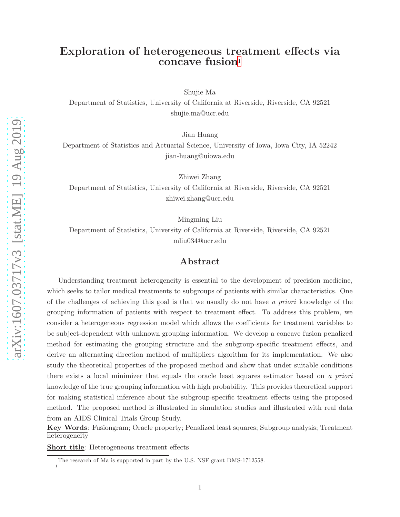# Exploration of heterogeneous treatment effects via concave fusion<sup>[1](#page-0-0)</sup>

Shujie Ma

Department of Statistics, University of California at Riverside, Riverside, CA 92521 shujie.ma@ucr.edu

Jian Huang

Department of Statistics and Actuarial Science, University of Iowa, Iowa City, IA 52242 jian-huang@uiowa.edu

Zhiwei Zhang

Department of Statistics, University of California at Riverside, Riverside, CA 92521 zhiwei.zhang@ucr.edu

Mingming Liu

Department of Statistics, University of California at Riverside, Riverside, CA 92521 mliu034@ucr.edu

### Abstract

Understanding treatment heterogeneity is essential to the development of precision medicine, which seeks to tailor medical treatments to subgroups of patients with similar characteristics. One of the challenges of achieving this goal is that we usually do not have a priori knowledge of the grouping information of patients with respect to treatment effect. To address this problem, we consider a heterogeneous regression model which allows the coefficients for treatment variables to be subject-dependent with unknown grouping information. We develop a concave fusion penalized method for estimating the grouping structure and the subgroup-specific treatment effects, and derive an alternating direction method of multipliers algorithm for its implementation. We also study the theoretical properties of the proposed method and show that under suitable conditions there exists a local minimizer that equals the oracle least squares estimator based on a priori knowledge of the true grouping information with high probability. This provides theoretical support for making statistical inference about the subgroup-specific treatment effects using the proposed method. The proposed method is illustrated in simulation studies and illustrated with real data from an AIDS Clinical Trials Group Study.

Key Words: Fusiongram; Oracle property; Penalized least squares; Subgroup analysis; Treatment heterogeneity

Short title: Heterogeneous treatment effects

The research of Ma is supported in part by the U.S. NSF grant DMS-1712558.

<span id="page-0-0"></span><sup>1</sup>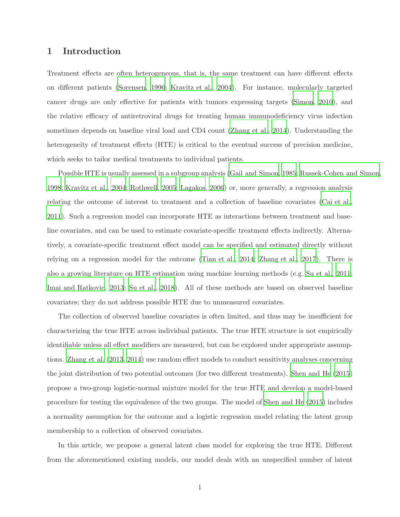# 1 Introduction

Treatment effects are often heterogeneous, that is, the same treatment can have different effects on different patients [\(Sorensen, 1996;](#page-42-0) [Kravitz et al., 2004\)](#page-41-0). For instance, molecularly targeted cancer drugs are only effective for patients with tumors expressing targets [\(Simon, 2010](#page-42-1)), and the relative efficacy of antiretroviral drugs for treating human immunodeficiency virus infection sometimes depends on baseline viral load and CD4 count [\(Zhang et al.](#page-43-0), [2014\)](#page-43-0). Understanding the heterogeneity of treatment effects (HTE) is critical to the eventual success of precision medicine, which seeks to tailor medical treatments to individual patients.

Possible HTE is usually assessed in a subgroup analysis [\(Gail and Simon](#page-40-0), [1985](#page-40-0); [Russek-Cohen and Simon,](#page-41-1) [1998;](#page-41-1) [Kravitz et al.](#page-41-0), [2004](#page-41-0); [Rothwell](#page-41-2), [2005](#page-41-2); [Lagakos](#page-41-3), [2006](#page-41-3)) or, more generally, a regression analysis relating the outcome of interest to treatment and a collection of baseline covariates [\(Cai et al.](#page-40-1), [2011\)](#page-40-1). Such a regression model can incorporate HTE as interactions between treatment and baseline covariates, and can be used to estimate covariate-specific treatment effects indirectly. Alternatively, a covariate-specific treatment effect model can be specified and estimated directly without relying on a regression model for the outcome [\(Tian et al., 2014;](#page-42-2) [Zhang et al.](#page-43-1), [2017\)](#page-43-1). There is also a growing literature on HTE estimation using machine learning methods (e.g. [Su et al.](#page-42-3), [2011;](#page-42-3) [Imai and Ratkovic](#page-40-2), [2013;](#page-40-2) [Su et al., 2018](#page-42-4)). All of these methods are based on observed baseline covariates; they do not address possible HTE due to unmeasured covariates.

The collection of observed baseline covariates is often limited, and thus may be insufficient for characterizing the true HTE across individual patients. The true HTE structure is not empirically identifiable unless all effect modifiers are measured, but can be explored under appropriate assumptions. [Zhang et al. \(2013,](#page-43-2) [2014](#page-43-0)) use random effect models to conduct sensitivity analyses concerning the joint distribution of two potential outcomes (for two different treatments). [Shen and He \(2015](#page-41-4)) propose a two-group logistic-normal mixture model for the true HTE and develop a model-based procedure for testing the equivalence of the two groups. The model of [Shen and He \(2015](#page-41-4)) includes a normality assumption for the outcome and a logistic regression model relating the latent group membership to a collection of observed covariates.

In this article, we propose a general latent class model for exploring the true HTE. Different from the aforementioned existing models, our model deals with an unspecified number of latent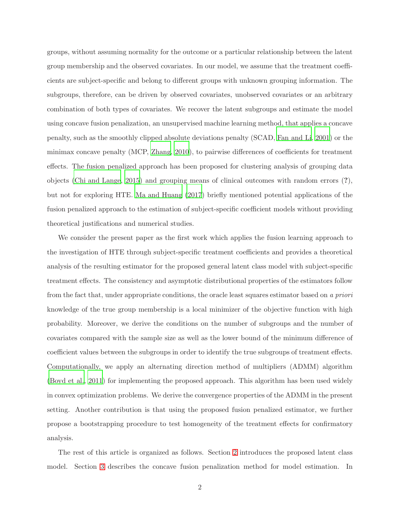groups, without assuming normality for the outcome or a particular relationship between the latent group membership and the observed covariates. In our model, we assume that the treatment coefficients are subject-specific and belong to different groups with unknown grouping information. The subgroups, therefore, can be driven by observed covariates, unobserved covariates or an arbitrary combination of both types of covariates. We recover the latent subgroups and estimate the model using concave fusion penalization, an unsupervised machine learning method, that applies a concave penalty, such as the smoothly clipped absolute deviations penalty (SCAD, [Fan and Li, 2001\)](#page-40-3) or the minimax concave penalty (MCP, [Zhang](#page-43-3), [2010](#page-43-3)), to pairwise differences of coefficients for treatment effects. The fusion penalized approach has been proposed for clustering analysis of grouping data objects [\(Chi and Lange, 2015\)](#page-40-4) and grouping means of clinical outcomes with random errors (?), but not for exploring HTE. [Ma and Huang \(2017](#page-41-5)) briefly mentioned potential applications of the fusion penalized approach to the estimation of subject-specific coefficient models without providing theoretical justifications and numerical studies.

We consider the present paper as the first work which applies the fusion learning approach to the investigation of HTE through subject-specific treatment coefficients and provides a theoretical analysis of the resulting estimator for the proposed general latent class model with subject-specific treatment effects. The consistency and asymptotic distributional properties of the estimators follow from the fact that, under appropriate conditions, the oracle least squares estimator based on a priori knowledge of the true group membership is a local minimizer of the objective function with high probability. Moreover, we derive the conditions on the number of subgroups and the number of covariates compared with the sample size as well as the lower bound of the minimum difference of coefficient values between the subgroups in order to identify the true subgroups of treatment effects. Computationally, we apply an alternating direction method of multipliers (ADMM) algorithm [\(Boyd et al., 2011](#page-40-5)) for implementing the proposed approach. This algorithm has been used widely in convex optimization problems. We derive the convergence properties of the ADMM in the present setting. Another contribution is that using the proposed fusion penalized estimator, we further propose a bootstrapping procedure to test homogeneity of the treatment effects for confirmatory analysis.

The rest of this article is organized as follows. Section [2](#page-3-0) introduces the proposed latent class model. Section [3](#page-5-0) describes the concave fusion penalization method for model estimation. In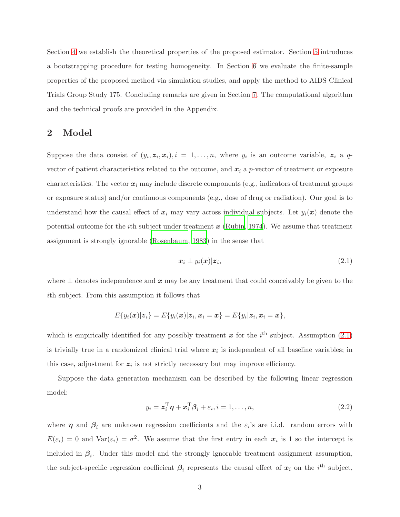Section [4](#page-8-0) we establish the theoretical properties of the proposed estimator. Section [5](#page-13-0) introduces a bootstrapping procedure for testing homogeneity. In Section [6](#page-14-0) we evaluate the finite-sample properties of the proposed method via simulation studies, and apply the method to AIDS Clinical Trials Group Study 175. Concluding remarks are given in Section [7.](#page-23-0) The computational algorithm and the technical proofs are provided in the Appendix.

# <span id="page-3-0"></span>2 Model

Suppose the data consist of  $(y_i, z_i, x_i), i = 1, \ldots, n$ , where  $y_i$  is an outcome variable,  $z_i$  a qvector of patient characteristics related to the outcome, and  $x_i$  a p-vector of treatment or exposure characteristics. The vector  $x_i$  may include discrete components (e.g., indicators of treatment groups or exposure status) and/or continuous components (e.g., dose of drug or radiation). Our goal is to understand how the causal effect of  $x_i$  may vary across individual subjects. Let  $y_i(x)$  denote the potential outcome for the *i*th subject under treatment  $x$  [\(Rubin, 1974](#page-41-6)). We assume that treatment assignment is strongly ignorable [\(Rosenbaum, 1983](#page-41-7)) in the sense that

<span id="page-3-1"></span>
$$
\boldsymbol{x}_i \perp y_i(\boldsymbol{x}) | \boldsymbol{z}_i,\tag{2.1}
$$

where  $\perp$  denotes independence and x may be any treatment that could conceivably be given to the ith subject. From this assumption it follows that

$$
E\{y_i(\boldsymbol{x})|\boldsymbol{z}_i\}=E\{y_i(\boldsymbol{x})|\boldsymbol{z}_i,\boldsymbol{x}_i=\boldsymbol{x}\}=E\{y_i|\boldsymbol{z}_i,\boldsymbol{x}_i=\boldsymbol{x}\},
$$

which is empirically identified for any possibly treatment  $\boldsymbol{x}$  for the i<sup>th</sup> subject. Assumption [\(2.1\)](#page-3-1) is trivially true in a randomized clinical trial where  $x_i$  is independent of all baseline variables; in this case, adjustment for  $z_i$  is not strictly necessary but may improve efficiency.

Suppose the data generation mechanism can be described by the following linear regression model:

<span id="page-3-2"></span>
$$
y_i = \boldsymbol{z}_i^{\mathrm{T}} \boldsymbol{\eta} + \boldsymbol{x}_i^{\mathrm{T}} \boldsymbol{\beta}_i + \varepsilon_i, i = 1, \dots, n,
$$
\n
$$
(2.2)
$$

where  $\eta$  and  $\beta_i$  are unknown regression coefficients and the  $\varepsilon_i$ 's are i.i.d. random errors with  $E(\varepsilon_i) = 0$  and  $Var(\varepsilon_i) = \sigma^2$ . We assume that the first entry in each  $x_i$  is 1 so the intercept is included in  $\beta_i$ . Under this model and the strongly ignorable treatment assignment assumption, the subject-specific regression coefficient  $\beta_i$  represents the causal effect of  $x_i$  on the i<sup>th</sup> subject,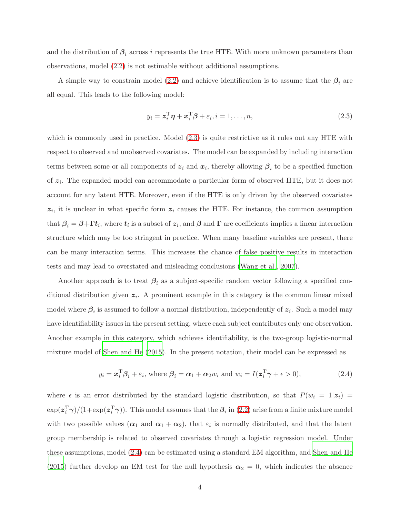and the distribution of  $\beta_i$  across i represents the true HTE. With more unknown parameters than observations, model [\(2.2\)](#page-3-2) is not estimable without additional assumptions.

A simple way to constrain model [\(2.2\)](#page-3-2) and achieve identification is to assume that the  $\beta_i$  are all equal. This leads to the following model:

<span id="page-4-0"></span>
$$
y_i = \mathbf{z}_i^{\mathrm{T}} \boldsymbol{\eta} + \mathbf{x}_i^{\mathrm{T}} \boldsymbol{\beta} + \varepsilon_i, i = 1, \dots, n,
$$
\n
$$
(2.3)
$$

which is commonly used in practice. Model  $(2.3)$  is quite restrictive as it rules out any HTE with respect to observed and unobserved covariates. The model can be expanded by including interaction terms between some or all components of  $z_i$  and  $x_i$ , thereby allowing  $\beta_i$  to be a specified function of  $z_i$ . The expanded model can accommodate a particular form of observed HTE, but it does not account for any latent HTE. Moreover, even if the HTE is only driven by the observed covariates  $z_i$ , it is unclear in what specific form  $z_i$  causes the HTE. For instance, the common assumption that  $\beta_i = \beta + \Gamma t_i$ , where  $t_i$  is a subset of  $z_i$ , and  $\beta$  and  $\Gamma$  are coefficients implies a linear interaction structure which may be too stringent in practice. When many baseline variables are present, there can be many interaction terms. This increases the chance of false positive results in interaction tests and may lead to overstated and misleading conclusions [\(Wang et al.](#page-43-4), [2007](#page-43-4)).

Another approach is to treat  $\beta_i$  as a subject-specific random vector following a specified conditional distribution given  $z_i$ . A prominent example in this category is the common linear mixed model where  $\beta_i$  is assumed to follow a normal distribution, independently of  $z_i$ . Such a model may have identifiability issues in the present setting, where each subject contributes only one observation. Another example in this category, which achieves identifiability, is the two-group logistic-normal mixture model of [Shen and He \(2015](#page-41-4)). In the present notation, their model can be expressed as

<span id="page-4-1"></span>
$$
y_i = \boldsymbol{x}_i^{\mathrm{T}} \boldsymbol{\beta}_i + \varepsilon_i
$$
, where  $\boldsymbol{\beta}_i = \boldsymbol{\alpha}_1 + \boldsymbol{\alpha}_2 w_i$  and  $w_i = I(\boldsymbol{z}_i^{\mathrm{T}} \boldsymbol{\gamma} + \boldsymbol{\epsilon} > 0)$ , 
$$
(2.4)
$$

where  $\epsilon$  is an error distributed by the standard logistic distribution, so that  $P(w_i = 1 | z_i)$  $\exp(\bm{z}_i^{\rm T}\bm{\gamma})/(1+\exp(\bm{z}_i^{\rm T}\bm{\gamma}))$ . This model assumes that the  $\bm{\beta}_i$  in [\(2.2\)](#page-3-2) arise from a finite mixture model with two possible values  $(\alpha_1 \text{ and } \alpha_1 + \alpha_2)$ , that  $\varepsilon_i$  is normally distributed, and that the latent group membership is related to observed covariates through a logistic regression model. Under these assumptions, model [\(2.4\)](#page-4-1) can be estimated using a standard EM algorithm, and [Shen and He](#page-41-4) [\(2015](#page-41-4)) further develop an EM test for the null hypothesis  $\alpha_2 = 0$ , which indicates the absence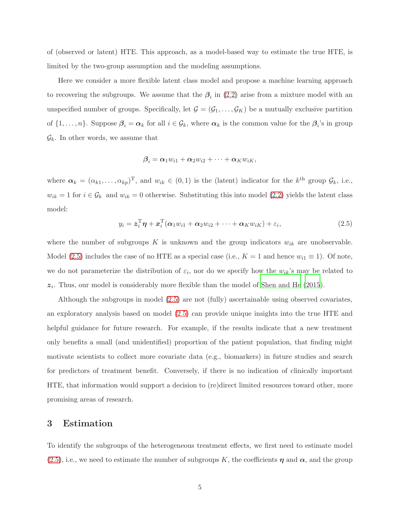of (observed or latent) HTE. This approach, as a model-based way to estimate the true HTE, is limited by the two-group assumption and the modeling assumptions.

Here we consider a more flexible latent class model and propose a machine learning approach to recovering the subgroups. We assume that the  $\beta_i$  in [\(2.2\)](#page-3-2) arise from a mixture model with an unspecified number of groups. Specifically, let  $G = (G_1, \ldots, G_K)$  be a mutually exclusive partition of  $\{1,\ldots,n\}$ . Suppose  $\beta_i = \alpha_k$  for all  $i \in \mathcal{G}_k$ , where  $\alpha_k$  is the common value for the  $\beta_i$ 's in group  $\mathcal{G}_k$ . In other words, we assume that

$$
\boldsymbol{\beta}_i = \boldsymbol{\alpha}_1 w_{i1} + \boldsymbol{\alpha}_2 w_{i2} + \cdots + \boldsymbol{\alpha}_K w_{iK},
$$

where  $\alpha_k = (\alpha_{k1}, \dots, \alpha_{kp})^{\mathrm{T}}$ , and  $w_{ik} \in (0,1)$  is the (latent) indicator for the  $k^{\text{th}}$  group  $\mathcal{G}_k$ , i.e.,  $w_{ik} = 1$  for  $i \in \mathcal{G}_k$  and  $w_{ik} = 0$  otherwise. Substituting this into model [\(2.2\)](#page-3-2) yields the latent class model:

<span id="page-5-1"></span>
$$
y_i = \boldsymbol{z}_i^{\mathrm{T}} \boldsymbol{\eta} + \boldsymbol{x}_i^{\mathrm{T}} (\boldsymbol{\alpha}_1 w_{i1} + \boldsymbol{\alpha}_2 w_{i2} + \cdots + \boldsymbol{\alpha}_K w_{iK}) + \varepsilon_i, \qquad (2.5)
$$

where the number of subgroups K is unknown and the group indicators  $w_{ik}$  are unobservable. Model [\(2.5\)](#page-5-1) includes the case of no HTE as a special case (i.e.,  $K = 1$  and hence  $w_{i1} \equiv 1$ ). Of note, we do not parameterize the distribution of  $\varepsilon_i$ , nor do we specify how the  $w_{ik}$ 's may be related to  $z_i$ . Thus, our model is considerably more flexible than the model of [Shen and He \(2015](#page-41-4)).

Although the subgroups in model [\(2.5\)](#page-5-1) are not (fully) ascertainable using observed covariates, an exploratory analysis based on model [\(2.5\)](#page-5-1) can provide unique insights into the true HTE and helpful guidance for future research. For example, if the results indicate that a new treatment only benefits a small (and unidentified) proportion of the patient population, that finding might motivate scientists to collect more covariate data (e.g., biomarkers) in future studies and search for predictors of treatment benefit. Conversely, if there is no indication of clinically important HTE, that information would support a decision to (re)direct limited resources toward other, more promising areas of research.

### <span id="page-5-0"></span>3 Estimation

To identify the subgroups of the heterogeneous treatment effects, we first need to estimate model  $(2.5)$ , i.e., we need to estimate the number of subgroups K, the coefficients  $\eta$  and  $\alpha$ , and the group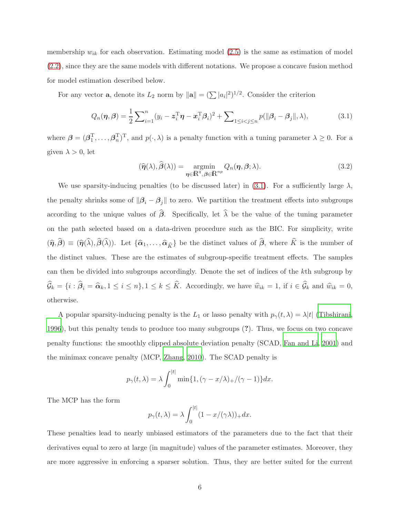membership  $w_{ik}$  for each observation. Estimating model [\(2.5\)](#page-5-1) is the same as estimation of model [\(2.2\)](#page-3-2), since they are the same models with different notations. We propose a concave fusion method for model estimation described below.

For any vector **a**, denote its  $L_2$  norm by  $\|\mathbf{a}\| = (\sum |a_i|^2)^{1/2}$ . Consider the criterion

<span id="page-6-0"></span>
$$
Q_n(\boldsymbol{\eta}, \boldsymbol{\beta}) = \frac{1}{2} \sum_{i=1}^n (y_i - \boldsymbol{z}_i^{\mathrm{T}} \boldsymbol{\eta} - \boldsymbol{x}_i^{\mathrm{T}} \boldsymbol{\beta}_i)^2 + \sum_{1 \le i < j \le n} p(||\boldsymbol{\beta}_i - \boldsymbol{\beta}_j||, \lambda),\tag{3.1}
$$

where  $\boldsymbol{\beta} = (\boldsymbol{\beta}_1^T, \dots, \boldsymbol{\beta}_n^T)^T$ , and  $p(\cdot, \lambda)$  is a penalty function with a tuning parameter  $\lambda \geq 0$ . For a given  $\lambda > 0$ , let

<span id="page-6-1"></span>
$$
(\widehat{\boldsymbol{\eta}}(\lambda), \widehat{\boldsymbol{\beta}}(\lambda)) = \underset{\boldsymbol{\eta} \in \mathbb{R}^q, \boldsymbol{\beta} \in \mathbb{R}^{np}}{\operatorname{argmin}} Q_n(\boldsymbol{\eta}, \boldsymbol{\beta}; \lambda).
$$
\n(3.2)

We use sparsity-inducing penalties (to be discussed later) in [\(3.1\)](#page-6-0). For a sufficiently large  $\lambda$ , the penalty shrinks some of  $\|\beta_i - \beta_j\|$  to zero. We partition the treatment effects into subgroups according to the unique values of  $\hat{\beta}$ . Specifically, let  $\hat{\lambda}$  be the value of the tuning parameter on the path selected based on a data-driven procedure such as the BIC. For simplicity, write  $({\hat{\eta}},\hat{\beta}) \equiv ({\hat{\eta}}(\hat{\lambda}),\hat{\beta}(\hat{\lambda}))$ . Let  $\{{\hat{\alpha}}_1,\ldots,{\hat{\alpha}}_{\hat{K}}\}$  be the distinct values of  $\hat{\beta}$ , where  $\hat{K}$  is the number of the distinct values. These are the estimates of subgroup-specific treatment effects. The samples can then be divided into subgroups accordingly. Denote the set of indices of the kth subgroup by  $\mathcal{G}_k = \{i : \beta_i = \hat{\alpha}_k, 1 \leq i \leq n\}, 1 \leq k \leq K$ . Accordingly, we have  $\hat{w}_{ik} = 1$ , if  $i \in \mathcal{G}_k$  and  $\hat{w}_{ik} = 0$ , otherwise.

A popular sparsity-inducing penalty is the  $L_1$  or lasso penalty with  $p_\gamma(t, \lambda) = \lambda |t|$  [\(Tibshirani,](#page-42-5) [1996\)](#page-42-5), but this penalty tends to produce too many subgroups (?). Thus, we focus on two concave penalty functions: the smoothly clipped absolute deviation penalty (SCAD, [Fan and Li, 2001\)](#page-40-3) and the minimax concave penalty (MCP, [Zhang](#page-43-3), [2010\)](#page-43-3). The SCAD penalty is

$$
p_{\gamma}(t,\lambda) = \lambda \int_0^{|t|} \min\{1, (\gamma - x/\lambda)_{+}/(\gamma - 1)\} dx.
$$

The MCP has the form

$$
p_{\gamma}(t,\lambda) = \lambda \int_0^{|t|} (1 - x/(\gamma \lambda))_+ dx.
$$

These penalties lead to nearly unbiased estimators of the parameters due to the fact that their derivatives equal to zero at large (in magnitude) values of the parameter estimates. Moreover, they are more aggressive in enforcing a sparser solution. Thus, they are better suited for the current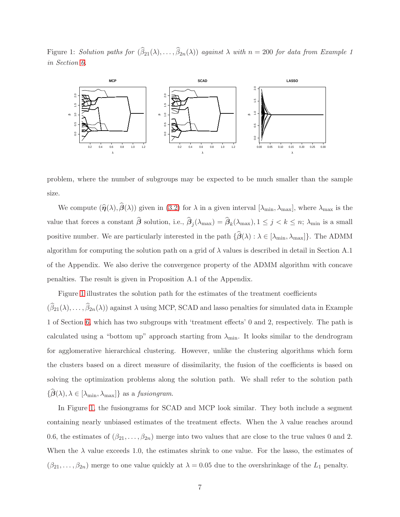<span id="page-7-0"></span>Figure 1: Solution paths for  $(\beta_{21}(\lambda), \ldots, \beta_{2n}(\lambda))$  against  $\lambda$  with  $n = 200$  for data from Example 1 in Section [6.](#page-14-0)



problem, where the number of subgroups may be expected to be much smaller than the sample size.

We compute  $(\hat{\eta}(\lambda),\hat{\beta}(\lambda))$  given in [\(3.2\)](#page-6-1) for  $\lambda$  in a given interval  $[\lambda_{\min}, \lambda_{\max}]$ , where  $\lambda_{\max}$  is the value that forces a constant  $\beta$  solution, i.e.,  $\beta_j(\lambda_{\max}) = \beta_k(\lambda_{\max}), 1 \le j \le k \le n; \lambda_{\min}$  is a small positive number. We are particularly interested in the path  $\{\widehat{\beta}(\lambda) : \lambda \in [\lambda_{\min}, \lambda_{\max}]\}.$  The ADMM algorithm for computing the solution path on a grid of  $\lambda$  values is described in detail in Section A.1 of the Appendix. We also derive the convergence property of the ADMM algorithm with concave penalties. The result is given in Proposition A.1 of the Appendix.

Figure [1](#page-7-0) illustrates the solution path for the estimates of the treatment coefficients  $(\beta_{21}(\lambda), \ldots, \beta_{2n}(\lambda))$  against  $\lambda$  using MCP, SCAD and lasso penalties for simulated data in Example 1 of Section [6,](#page-14-0) which has two subgroups with 'treatment effects' 0 and 2, respectively. The path is calculated using a "bottom up" approach starting from  $\lambda_{\min}$ . It looks similar to the dendrogram for agglomerative hierarchical clustering. However, unlike the clustering algorithms which form the clusters based on a direct measure of dissimilarity, the fusion of the coefficients is based on solving the optimization problems along the solution path. We shall refer to the solution path  $\{\beta(\lambda), \lambda \in [\lambda_{\min}, \lambda_{\max}]\}\$ as a *fusiongram*.

In Figure [1,](#page-7-0) the fusiongrams for SCAD and MCP look similar. They both include a segment containing nearly unbiased estimates of the treatment effects. When the  $\lambda$  value reaches around 0.6, the estimates of  $(\beta_{21}, \ldots, \beta_{2n})$  merge into two values that are close to the true values 0 and 2. When the  $\lambda$  value exceeds 1.0, the estimates shrink to one value. For the lasso, the estimates of  $(\beta_{21}, \ldots, \beta_{2n})$  merge to one value quickly at  $\lambda = 0.05$  due to the overshrinkage of the  $L_1$  penalty.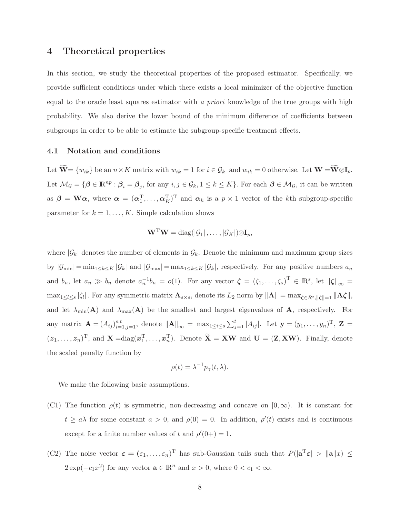### <span id="page-8-0"></span>4 Theoretical properties

In this section, we study the theoretical properties of the proposed estimator. Specifically, we provide sufficient conditions under which there exists a local minimizer of the objective function equal to the oracle least squares estimator with a priori knowledge of the true groups with high probability. We also derive the lower bound of the minimum difference of coefficients between subgroups in order to be able to estimate the subgroup-specific treatment effects.

### 4.1 Notation and conditions

Let  $\widetilde{\mathbf{W}} = \{w_{ik}\}$  be an  $n \times K$  matrix with  $w_{ik} = 1$  for  $i \in \mathcal{G}_k$  and  $w_{ik} = 0$  otherwise. Let  $\mathbf{W} = \widetilde{\mathbf{W}} \otimes \mathbf{I}_p$ . Let  $\mathcal{M}_{\mathcal{G}} = \{\beta \in \mathbb{R}^{np} : \beta_i = \beta_j$ , for any  $i, j \in \mathcal{G}_k, 1 \leq k \leq K\}$ . For each  $\beta \in \mathcal{M}_{\mathcal{G}}$ , it can be written as  $\beta = W\alpha$ , where  $\alpha = (\alpha_1^T, \dots, \alpha_K^T)^T$  and  $\alpha_k$  is a  $p \times 1$  vector of the kth subgroup-specific parameter for  $k = 1, ..., K$ . Simple calculation shows

$$
\mathbf{W}^{\mathrm{T}}\mathbf{W} = \mathrm{diag}(|\mathcal{G}_1|, \ldots, |\mathcal{G}_K|) \otimes \mathbf{I}_p,
$$

where  $|\mathcal{G}_k|$  denotes the number of elements in  $\mathcal{G}_k$ . Denote the minimum and maximum group sizes by  $|\mathcal{G}_{\min}| = \min_{1 \leq k \leq K} |\mathcal{G}_k|$  and  $|\mathcal{G}_{\max}| = \max_{1 \leq k \leq K} |\mathcal{G}_k|$ , respectively. For any positive numbers  $a_n$ and  $b_n$ , let  $a_n \gg b_n$  denote  $a_n^{-1}b_n = o(1)$ . For any vector  $\boldsymbol{\zeta} = (\zeta_1, \ldots, \zeta_s)^T \in \mathbb{R}^s$ , let  $\|\boldsymbol{\zeta}\|_{\infty} =$  $\max_{1 \leq l \leq s} |\zeta_l|$  . For any symmetric matrix  $\mathbf{A}_{s \times s}$ , denote its  $L_2$  norm by  $\|\mathbf{A}\| = \max_{\boldsymbol{\zeta} \in R^s, \|\boldsymbol{\zeta}\| = 1} \|\mathbf{A}\boldsymbol{\zeta}\|$ , and let  $\lambda_{\min}(\mathbf{A})$  and  $\lambda_{\max}(\mathbf{A})$  be the smallest and largest eigenvalues of **A**, respectively. For any matrix  $\mathbf{A} = (A_{ij})_{i=1,j=1}^{s,t}$ , denote  $\|\mathbf{A}\|_{\infty} = \max_{1 \leq i \leq s} \sum_{j=1}^{t} |A_{ij}|$ . Let  $\mathbf{y} = (y_1, \ldots, y_n)$ <sup>T</sup>,  $\mathbf{Z} =$  $(z_1,\ldots,z_n)^T$ , and  $X = diag(x_1^T,\ldots,x_n^T)$ . Denote  $\tilde{X} = XW$  and  $U = (Z, XW)$ . Finally, denote the scaled penalty function by

$$
\rho(t) = \lambda^{-1} p_{\gamma}(t, \lambda).
$$

We make the following basic assumptions.

- (C1) The function  $\rho(t)$  is symmetric, non-decreasing and concave on  $[0,\infty)$ . It is constant for  $t \ge a\lambda$  for some constant  $a > 0$ , and  $\rho(0) = 0$ . In addition,  $\rho'(t)$  exists and is continuous except for a finite number values of t and  $\rho'(0+) = 1$ .
- (C2) The noise vector  $\boldsymbol{\varepsilon} = (\varepsilon_1, \ldots, \varepsilon_n)^T$  has sub-Gaussian tails such that  $P(|\mathbf{a}^T \boldsymbol{\varepsilon}| > ||\mathbf{a}||x) \le$  $2 \exp(-c_1 x^2)$  for any vector  $\mathbf{a} \in \mathbb{R}^n$  and  $x > 0$ , where  $0 < c_1 < \infty$ .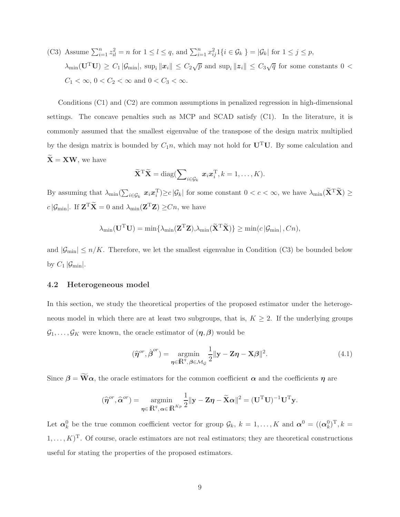(C3) Assume  $\sum_{i=1}^{n} z_{il}^2 = n$  for  $1 \le l \le q$ , and  $\sum_{i=1}^{n} x_{ij}^2 1\{i \in \mathcal{G}_k\} = |\mathcal{G}_k|$  for  $1 \le j \le p$ ,  $\lambda_{\min}(\mathbf{U}^T \mathbf{U}) \geq C_1 |\mathcal{G}_{\min}|, \sup_i ||\mathbf{x}_i|| \leq C_2 \sqrt{p}$  and  $\sup_i ||\mathbf{z}_i|| \leq C_3 \sqrt{q}$  for some constants  $0 <$  $C_1 < \infty$ ,  $0 < C_2 < \infty$  and  $0 < C_3 < \infty$ .

Conditions (C1) and (C2) are common assumptions in penalized regression in high-dimensional settings. The concave penalties such as MCP and SCAD satisfy  $(C1)$ . In the literature, it is commonly assumed that the smallest eigenvalue of the transpose of the design matrix multiplied by the design matrix is bounded by  $C_1n$ , which may not hold for  $U^TU$ . By some calculation and  $\widetilde{\mathbf{X}} = \mathbf{X}\mathbf{W}$ , we have

$$
\widetilde{\mathbf{X}}^{\mathrm{T}}\widetilde{\mathbf{X}} = \mathrm{diag}(\sum\nolimits_{i \in \mathcal{G}_k} \boldsymbol{x}_i \boldsymbol{x}_i^{\mathrm{T}}, k = 1, \ldots, K).
$$

By assuming that  $\lambda_{\min}(\sum_{i \in \mathcal{G}_k} x_i x_i^{\mathrm{T}}) \geq c |\mathcal{G}_k|$  for some constant  $0 < c < \infty$ , we have  $\lambda_{\min}(\tilde{\mathbf{X}}^{\mathrm{T}} \tilde{\mathbf{X}}) \geq$  $c |\mathcal{G}_{\text{min}}|$ . If  $\mathbf{Z}^{\text{T}} \mathbf{X} = 0$  and  $\lambda_{\text{min}}(\mathbf{Z}^{\text{T}} \mathbf{Z}) \geq Cn$ , we have

$$
\lambda_{\min}(\mathbf{U}^{\mathrm{T}}\mathbf{U}) = \min\{\lambda_{\min}(\mathbf{Z}^{\mathrm{T}}\mathbf{Z}), \lambda_{\min}(\widetilde{\mathbf{X}}^{\mathrm{T}}\widetilde{\mathbf{X}})\} \ge \min(c |\mathcal{G}_{\min}|, Cn),
$$

and  $|\mathcal{G}_{\text{min}}| \le n/K$ . Therefore, we let the smallest eigenvalue in Condition (C3) be bounded below by  $C_1 | \mathcal{G}_{\text{min}} |$ .

### 4.2 Heterogeneous model

In this section, we study the theoretical properties of the proposed estimator under the heterogeneous model in which there are at least two subgroups, that is,  $K \geq 2$ . If the underlying groups  $\mathcal{G}_1, \ldots, \mathcal{G}_K$  were known, the oracle estimator of  $(\eta, \beta)$  would be

$$
(\widehat{\boldsymbol{\eta}}^{or}, \widehat{\boldsymbol{\beta}}^{or}) = \underset{\boldsymbol{\eta} \in \mathbb{R}^q, \ \boldsymbol{\beta} \in \mathcal{M}_{\mathcal{G}}}{\operatorname{argmin}} \frac{1}{2} ||\mathbf{y} - \mathbf{Z}\boldsymbol{\eta} - \mathbf{X}\boldsymbol{\beta}||^2. \tag{4.1}
$$

Since  $\beta = \widetilde{W}\alpha$ , the oracle estimators for the common coefficient  $\alpha$  and the coefficients  $\eta$  are

$$
(\widehat{\boldsymbol{\eta}}^{or}, \widehat{\boldsymbol{\alpha}}^{or}) = \underset{\boldsymbol{\eta} \in \mathbb{R}^q, \boldsymbol{\alpha} \in \mathbb{R}^{K_p}}{\operatorname{argmin}} \frac{1}{2} ||\mathbf{y} - \mathbf{Z}\boldsymbol{\eta} - \widetilde{\mathbf{X}}\boldsymbol{\alpha}||^2 = (\mathbf{U}^{\mathrm{T}}\mathbf{U})^{-1}\mathbf{U}^{\mathrm{T}}\mathbf{y}.
$$

<span id="page-9-0"></span>Let  $\alpha_k^0$  be the true common coefficient vector for group  $\mathcal{G}_k$ ,  $k = 1, ..., K$  and  $\alpha^0 = ((\alpha_k^0)^T, k =$  $(1, \ldots, K)^T$ . Of course, oracle estimators are not real estimators; they are theoretical constructions useful for stating the properties of the proposed estimators.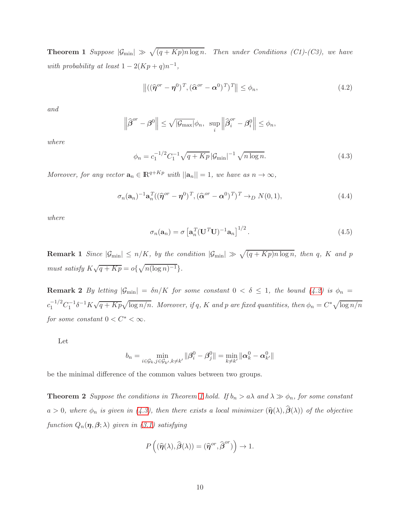**Theorem 1** Suppose  $|\mathcal{G}_{min}| \gg \sqrt{(q + Kp)n \log n}$ . Then under Conditions (C1)-(C3), we have with probability at least  $1 - 2(Kp + q)n^{-1}$ ,

<span id="page-10-0"></span>
$$
\left\| \left( (\widehat{\boldsymbol{\eta}}^{or} - \boldsymbol{\eta}^0)^T, (\widehat{\boldsymbol{\alpha}}^{or} - \boldsymbol{\alpha}^0)^T \right)^T \right\| \le \phi_n,
$$
\n(4.2)

and

$$
\left\|\widehat{\boldsymbol{\beta}}^{or}-\boldsymbol{\beta}^{0}\right\| \leq \sqrt{|\mathcal{G}_{\text{max}}|}\phi_{n}, \ \ \sup_{i}\left\|\widehat{\boldsymbol{\beta}}_{i}^{or}-\boldsymbol{\beta}_{i}^{0}\right\| \leq \phi_{n},
$$

where

<span id="page-10-1"></span>
$$
\phi_n = c_1^{-1/2} C_1^{-1} \sqrt{q + Kp} \, |\mathcal{G}_{\min}|^{-1} \sqrt{n \log n}.\tag{4.3}
$$

Moreover, for any vector  $\mathbf{a}_n \in \mathbb{R}^{q+Kp}$  with  $||\mathbf{a}_n|| = 1$ , we have as  $n \to \infty$ ,

<span id="page-10-4"></span>
$$
\sigma_n(\mathbf{a}_n)^{-1}\mathbf{a}_n^T((\widehat{\boldsymbol{\eta}}^{or}-\boldsymbol{\eta}^0)^T, (\widehat{\boldsymbol{\alpha}}^{or}-\boldsymbol{\alpha}^0)^T)^T \to_D N(0,1),
$$
\n(4.4)

where

<span id="page-10-3"></span>
$$
\sigma_n(\mathbf{a}_n) = \sigma \left[ \mathbf{a}_n^T (\mathbf{U}^T \mathbf{U})^{-1} \mathbf{a}_n \right]^{1/2}.
$$
 (4.5)

**Remark 1** Since  $|\mathcal{G}_{min}| \le n/K$ , by the condition  $|\mathcal{G}_{min}| \gg \sqrt{(q+Kp)n \log n}$ , then q, K and p must satisfy  $K\sqrt{q+Kp} = o\{\sqrt{n(\log n)^{-1}}\}.$ 

**Remark 2** By letting  $|\mathcal{G}_{min}| = \delta n/K$  for some constant  $0 < \delta \leq 1$ , the bound [\(4.2\)](#page-10-0) is  $\phi_n =$  $c_1^{-1/2}C_1^{-1}\delta^{-1}K\sqrt{q+Kp}\sqrt{\log n/n}$ . Moreover, if q, K and p are fixed quantities, then  $\phi_n = C^*\sqrt{\log n/n}$ for some constant  $0 < C^* < \infty$ .

Let

$$
b_n = \min_{i \in \mathcal{G}_k, j \in \mathcal{G}_{k'}, k \neq k'} ||\beta_i^0 - \beta_j^0|| = \min_{k \neq k'} ||\alpha_k^0 - \alpha_{k'}^0||
$$

<span id="page-10-2"></span>be the minimal difference of the common values between two groups.

**Theorem 2** Suppose the conditions in Theorem [1](#page-9-0) hold. If  $b_n > a\lambda$  and  $\lambda \gg \phi_n$ , for some constant a > 0, where  $\phi_n$  is given in [\(4.3\)](#page-10-1), then there exists a local minimizer  $(\hat{\eta}(\lambda),\hat{\beta}(\lambda))$  of the objective function  $Q_n(\eta, \beta; \lambda)$  given in [\(3.1\)](#page-6-0) satisfying

$$
P\left((\widehat{\boldsymbol{\eta}}(\lambda),\widehat{\boldsymbol{\beta}}(\lambda))=(\widehat{\boldsymbol{\eta}}^{or},\widehat{\boldsymbol{\beta}}^{or})\right)\to 1.
$$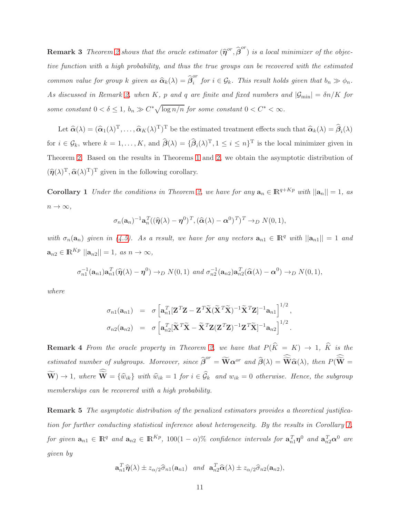**Remark 3** Theorem [2](#page-10-2) shows that the oracle estimator  $(\hat{\eta}^{or}, \hat{\beta}^{or})$  is a local minimizer of the objective function with a high probability, and thus the true groups can be recovered with the estimated common value for group k given as  $\widehat{\boldsymbol{\alpha}}_k(\lambda) = \widehat{\boldsymbol{\beta}}_i^{or}$  $\widetilde{f}_i$  for  $i \in \mathcal{G}_k$ . This result holds given that  $b_n \gg \phi_n$ . As discussed in Remark [2,](#page-26-0) when K, p and q are finite and fixed numbers and  $|\mathcal{G}_{min}| = \delta n/K$  for some constant  $0 < \delta \leq 1$ ,  $b_n \gg C^* \sqrt{\log n/n}$  for some constant  $0 < C^* < \infty$ .

Let  $\hat{\alpha}(\lambda) = (\hat{\alpha}_1(\lambda)^T, \dots, \hat{\alpha}_K(\lambda)^T)^T$  be the estimated treatment effects such that  $\hat{\alpha}_k(\lambda) = \hat{\beta}_i(\lambda)$ for  $i \in \mathcal{G}_k$ , where  $k = 1, ..., K$ , and  $\hat{\boldsymbol{\beta}}(\lambda) = {\hat{\boldsymbol{\beta}}_i(\lambda)^T, 1 \leq i \leq n}^T$  is the local minimizer given in Theorem [2.](#page-10-2) Based on the results in Theorems [1](#page-9-0) and [2,](#page-10-2) we obtain the asymptotic distribution of  $(\widehat{\eta}(\lambda)^{\mathrm{T}}, \widehat{\alpha}(\lambda)^{\mathrm{T}})^{\mathrm{T}}$  given in the following corollary.

<span id="page-11-0"></span>**Corollary 1** Under the conditions in Theorem [2,](#page-10-2) we have for any  $\mathbf{a}_n \in \mathbb{R}^{q+Kp}$  with  $||\mathbf{a}_n|| = 1$ , as  $n \to \infty$ ,

$$
\sigma_n(\mathbf{a}_n)^{-1}\mathbf{a}_n^T((\widehat{\boldsymbol{\eta}}(\lambda)-\boldsymbol{\eta}^0)^T,(\widehat{\boldsymbol{\alpha}}(\lambda)-\boldsymbol{\alpha}^0)^T)^T \to_D N(0,1),
$$

with  $\sigma_n(\mathbf{a}_n)$  given in [\(4.5\)](#page-10-3). As a result, we have for any vectors  $\mathbf{a}_{n1} \in \mathbb{R}^q$  with  $||\mathbf{a}_{n1}|| = 1$  and  $\mathbf{a}_{n2} \in \mathbb{R}^{Kp}$   $||\mathbf{a}_{n2}|| = 1$ , as  $n \to \infty$ ,

$$
\sigma_{n1}^{-1}(\mathbf{a}_{n1})\mathbf{a}_{n1}^T(\widehat{\boldsymbol{\eta}}(\lambda)-\boldsymbol{\eta}^0)\rightarrow_D N(0,1) \text{ and } \sigma_{n2}^{-1}(\mathbf{a}_{n2})\mathbf{a}_{n2}^T(\widehat{\boldsymbol{\alpha}}(\lambda)-\boldsymbol{\alpha}^0)\rightarrow_D N(0,1),
$$

where

$$
\sigma_{n1}(\mathbf{a}_{n1}) = \sigma \left[ \mathbf{a}_{n1}^T [\mathbf{Z}^T \mathbf{Z} - \mathbf{Z}^T \widetilde{\mathbf{X}} (\widetilde{\mathbf{X}}^T \widetilde{\mathbf{X}})^{-1} \widetilde{\mathbf{X}}^T \mathbf{Z}]^{-1} \mathbf{a}_{n1} \right]^{1/2},
$$
  

$$
\sigma_{n2}(\mathbf{a}_{n2}) = \sigma \left[ \mathbf{a}_{n2}^T [\widetilde{\mathbf{X}}^T \widetilde{\mathbf{X}} - \widetilde{\mathbf{X}}^T \mathbf{Z} (\mathbf{Z}^T \mathbf{Z})^{-1} \mathbf{Z}^T \widetilde{\mathbf{X}}]^{-1} \mathbf{a}_{n2} \right]^{1/2}.
$$

**Remark 4** From the oracle property in Theorem [2,](#page-10-2) we have that  $P(\widehat{K} = K) \rightarrow 1$ ,  $\widehat{K}$  is the estimated number of subgroups. Moreover, since  $\widehat{\boldsymbol{\beta}}^{or} = \widetilde{\mathbf{W}} \alpha^{or}$  and  $\widehat{\boldsymbol{\beta}}(\lambda) = \widehat{\widetilde{\mathbf{W}}} \widehat{\alpha}(\lambda)$ , then  $P(\widehat{\widetilde{\mathbf{W}}} = \lambda)$  $(\mathbf{W}) \to 1$ , where  $\mathbf{W} = {\hat{w}_{ik}}$  with  $\hat{w}_{ik} = 1$  for  $i \in \mathcal{G}_k$  and  $w_{ik} = 0$  otherwise. Hence, the subgroup memberships can be recovered with a high probability.

Remark 5 The asymptotic distribution of the penalized estimators provides a theoretical justification for further conducting statistical inference about heterogeneity. By the results in Corollary [1,](#page-11-0) for given  $\mathbf{a}_{n1} \in \mathbb{R}^q$  and  $\mathbf{a}_{n2} \in \mathbb{R}^{Kp}$ , 100(1 –  $\alpha$ )% confidence intervals for  $\mathbf{a}_{n1}^T \boldsymbol{\eta}^0$  and  $\mathbf{a}_{n2}^T \boldsymbol{\alpha}^0$  are given by

$$
\mathbf{a}_{n1}^T \widehat{\boldsymbol{\eta}}(\lambda) \pm z_{\alpha/2} \widehat{\sigma}_{n1}(\mathbf{a}_{n1}) \quad and \quad \mathbf{a}_{n2}^T \widehat{\boldsymbol{\alpha}}(\lambda) \pm z_{\alpha/2} \widehat{\sigma}_{n2}(\mathbf{a}_{n2}),
$$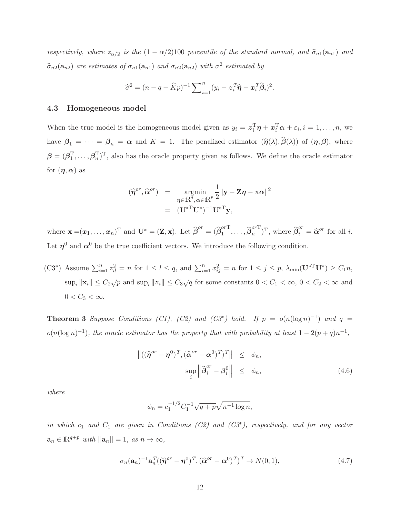respectively, where  $z_{\alpha/2}$  is the  $(1 - \alpha/2)100$  percentile of the standard normal, and  $\hat{\sigma}_{n1}(\mathbf{a}_{n1})$  and  $\widehat{\sigma}_{n2}(\mathbf{a}_{n2})$  are estimates of  $\sigma_{n1}(\mathbf{a}_{n1})$  and  $\sigma_{n2}(\mathbf{a}_{n2})$  with  $\sigma^2$  estimated by

$$
\widehat{\sigma}^2 = (n - q - \widehat{K}p)^{-1} \sum_{i=1}^n (y_i - z_i^T \widehat{\boldsymbol{\eta}} - x_i^T \widehat{\boldsymbol{\beta}}_i)^2.
$$

#### 4.3 Homogeneous model

When the true model is the homogeneous model given as  $y_i = \boldsymbol{z}_i^{\mathrm{T}} \boldsymbol{\eta} + \boldsymbol{x}_i^{\mathrm{T}} \boldsymbol{\alpha} + \varepsilon_i, i = 1, \ldots, n$ , we have  $\beta_1 = \cdots = \beta_n = \alpha$  and  $K = 1$ . The penalized estimator  $(\hat{\eta}(\lambda), \hat{\beta}(\lambda))$  of  $(\eta, \beta)$ , where  $\boldsymbol{\beta} = (\boldsymbol{\beta}_1^T,\ldots,\boldsymbol{\beta}_n^T)^T$ , also has the oracle property given as follows. We define the oracle estimator for  $(\eta, \alpha)$  as

$$
(\widehat{\boldsymbol{\eta}}^{or}, \widehat{\boldsymbol{\alpha}}^{or}) = \underset{\boldsymbol{\eta} \in \mathbb{R}^q, \boldsymbol{\alpha} \in \mathbb{R}^p}{\operatorname{argmin}} \frac{1}{2} ||\mathbf{y} - \mathbf{Z}\boldsymbol{\eta} - \mathbf{x}\boldsymbol{\alpha}||^2
$$

$$
= (\mathbf{U}^{*T}\mathbf{U}^*)^{-1}\mathbf{U}^{*T}\mathbf{y},
$$

where  $\mathbf{x} = (\boldsymbol{x}_1, \dots, \boldsymbol{x}_n)^\mathrm{T}$  and  $\mathbf{U}^* = (\mathbf{Z}, \mathbf{x})$ . Let  $\widehat{\boldsymbol{\beta}}^{or} = (\widehat{\boldsymbol{\beta}}_1^{or} \mathbf{I})$  $\overline{\beta}_1^{or\mathrm{T}}, \ldots, \widehat{\beta}_n^{or\mathrm{T}}$  $\binom{or}{n}$ <sup>T</sup>, where  $\widehat{\beta}_i^{or} = \widehat{\alpha}^{or}$  for all *i*. Let  $\eta^0$  and  $\alpha^0$  be the true coefficient vectors. We introduce the following condition.

 $(C3^*)$  Assume  $\sum_{i=1}^n z_{il}^2 = n$  for  $1 \leq l \leq q$ , and  $\sum_{i=1}^n x_{ij}^2 = n$  for  $1 \leq j \leq p$ ,  $\lambda_{\min}(\mathbf{U}^* \mathbf{U}^*) \geq C_1 n$ ,  $\sup_i ||x_i|| \leq C_2\sqrt{p}$  and  $\sup_i ||z_i|| \leq C_3\sqrt{q}$  for some constants  $0 < C_1 < \infty$ ,  $0 < C_2 < \infty$  and  $0 < C_3 < \infty$ .

<span id="page-12-0"></span>**Theorem 3** Suppose Conditions (C1), (C2) and (C3<sup>\*</sup>) hold. If  $p = o(n(\log n)^{-1})$  and  $q =$  $o(n(\log n)^{-1})$ , the oracle estimator has the property that with probability at least  $1 - 2(p+q)n^{-1}$ ,

<span id="page-12-1"></span>
$$
\left\| \left( (\widehat{\boldsymbol{\eta}}^{or} - \boldsymbol{\eta}^{0})^{T}, (\widehat{\boldsymbol{\alpha}}^{or} - \boldsymbol{\alpha}^{0})^{T} \right)^{T} \right\| \leq \phi_{n},
$$
  
\n
$$
\sup_{i} \left\| \widehat{\boldsymbol{\beta}}_{i}^{or} - \boldsymbol{\beta}_{i}^{0} \right\| \leq \phi_{n}, \qquad (4.6)
$$

where

$$
\phi_n = c_1^{-1/2} C_1^{-1} \sqrt{q+p} \sqrt{n^{-1} \log n},
$$

in which  $c_1$  and  $C_1$  are given in Conditions (C2) and (C3<sup>\*</sup>), respectively, and for any vector  $\mathbf{a}_n \in \mathbb{R}^{q+p}$  with  $||\mathbf{a}_n|| = 1$ , as  $n \to \infty$ ,

<span id="page-12-2"></span>
$$
\sigma_n(\mathbf{a}_n)^{-1}\mathbf{a}_n^T((\widehat{\boldsymbol{\eta}}^{or}-\boldsymbol{\eta}^0)^T, (\widehat{\boldsymbol{\alpha}}^{or}-\boldsymbol{\alpha}^0)^T)^T \to N(0,1),
$$
\n(4.7)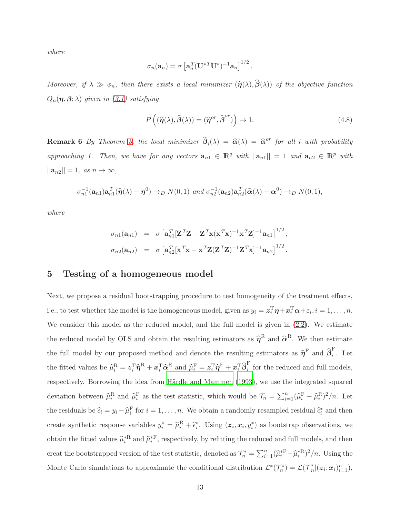where

$$
\sigma_n(\mathbf{a}_n)=\sigma\left[\mathbf{a}_n^T(\mathbf{U}^{*T}\mathbf{U}^*)^{-1}\mathbf{a}_n\right]^{1/2}.
$$

Moreover, if  $\lambda \gg \phi_n$ , then there exists a local minimizer  $(\hat{\eta}(\lambda),\hat{\beta}(\lambda))$  of the objective function  $Q_n(\boldsymbol{\eta},\boldsymbol{\beta};\boldsymbol{\lambda})$  given in [\(3.1\)](#page-6-0) satisfying

<span id="page-13-1"></span>
$$
P\left((\widehat{\boldsymbol{\eta}}(\lambda),\widehat{\boldsymbol{\beta}}(\lambda))=(\widehat{\boldsymbol{\eta}}^{or},\widehat{\boldsymbol{\beta}}^{or})\right)\to 1.
$$
\n(4.8)

**Remark 6** By Theorem [3,](#page-12-0) the local minimizer  $\hat{\beta}_i(\lambda) = \hat{\alpha}(\lambda) = \hat{\alpha}^{or}$  for all i with probability approaching 1. Then, we have for any vectors  $\mathbf{a}_{n1} \in \mathbb{R}^q$  with  $||\mathbf{a}_{n1}|| = 1$  and  $\mathbf{a}_{n2} \in \mathbb{R}^p$  with  $||\mathbf{a}_{n2}|| = 1$ , as  $n \to \infty$ ,

$$
\sigma_{n1}^{-1}(\mathbf{a}_{n1})\mathbf{a}_{n1}^T(\widehat{\boldsymbol{\eta}}(\lambda)-\boldsymbol{\eta}^0)\rightarrow_D N(0,1) \text{ and } \sigma_{n2}^{-1}(\mathbf{a}_{n2})\mathbf{a}_{n2}^T(\widehat{\boldsymbol{\alpha}}(\lambda)-\boldsymbol{\alpha}^0)\rightarrow_D N(0,1),
$$

where

$$
\sigma_{n1}(\mathbf{a}_{n1}) = \sigma \left[ \mathbf{a}_{n1}^T [\mathbf{Z}^T \mathbf{Z} - \mathbf{Z}^T \mathbf{x} (\mathbf{x}^T \mathbf{x})^{-1} \mathbf{x}^T \mathbf{Z}]^{-1} \mathbf{a}_{n1} \right]^{1/2},
$$
  
\n
$$
\sigma_{n2}(\mathbf{a}_{n2}) = \sigma \left[ \mathbf{a}_{n2}^T [\mathbf{x}^T \mathbf{x} - \mathbf{x}^T \mathbf{Z} (\mathbf{Z}^T \mathbf{Z})^{-1} \mathbf{Z}^T \mathbf{x}]^{-1} \mathbf{a}_{n2} \right]^{1/2}.
$$

# <span id="page-13-0"></span>5 Testing of a homogeneous model

Next, we propose a residual bootstrapping procedure to test homogeneity of the treatment effects, i.e., to test whether the model is the homogeneous model, given as  $y_i = \boldsymbol{z}_i^{\mathrm{T}} \boldsymbol{\eta} + \boldsymbol{x}_i^{\mathrm{T}} \boldsymbol{\alpha} + \varepsilon_i, i = 1, \ldots, n$ . We consider this model as the reduced model, and the full model is given in  $(2.2)$ . We estimate the reduced model by OLS and obtain the resulting estimators as  $\hat{\eta}^R$  and  $\hat{\alpha}^R$ . We then estimate the full model by our proposed method and denote the resulting estimators as  $\hat{\eta}^{\text{F}}$  and  $\hat{\beta}_i^{\text{F}}$  $\overline{i}$ . Let the fitted values be  $\hat{\mu}_i^{\text{R}} = \mathbf{z}_i^{\text{T}} \hat{\pmb{\eta}}^{\text{R}} + \mathbf{x}_i^{\text{T}} \hat{\pmb{\alpha}}^{\text{R}}$  and  $\hat{\mu}_i^{\text{F}} = \mathbf{z}_i^{\text{T}} \hat{\pmb{\eta}}^{\text{F}} + \mathbf{x}_i^{\text{T}} \hat{\pmb{\beta}}_i^{\text{F}}$  $\frac{1}{i}$  for the reduced and full models, respectively. Borrowing the idea from Härdle and Mammen (1993), we use the integrated squared deviation between  $\hat{\mu}_i^R$  and  $\hat{\mu}_i^F$  as the test statistic, which would be  $\mathcal{T}_n = \sum_{i=1}^n (\hat{\mu}_i^F - \hat{\mu}_i^R)^2/n$ . Let the residuals be  $\hat{\epsilon}_i = y_i - \hat{\mu}_i^F$  for  $i = 1, \dots, n$ . We obtain a randomly resampled residual  $\hat{\epsilon}_i^*$  and then create synthetic response variables  $y_i^* = \hat{\mu}_i^R + \hat{\epsilon}_i^*$ . Using  $(z_i, x_i, y_i^*)$  as bootstrap observations, we obtain the fitted values  $\hat{\mu}_i^*$ <sup>R</sup> and  $\hat{\mu}_i^*$ <sup>F</sup>, respectively, by refitting the reduced and full models, and then creat the bootstrapped version of the test statistic, denoted as  $\mathcal{T}_n^* = \sum_{i=1}^n (\hat{\mu}_i^{*F} - \hat{\mu}_i^{*R})^2/n$ . Using the Monte Carlo simulations to approximate the conditional distribution  $\mathcal{L}^*(\mathcal{T}_n^*) = \mathcal{L}(\mathcal{T}_n^*)$  $_{n}^{*}|(z_{i},x_{i})_{i=1}^{n}),$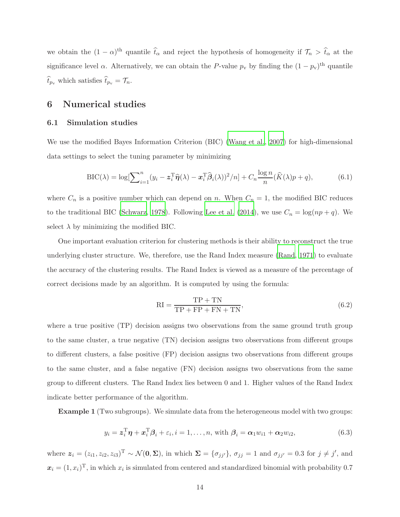we obtain the  $(1 - \alpha)^{\text{th}}$  quantile  $\hat{t}_{\alpha}$  and reject the hypothesis of homogeneity if  $\mathcal{T}_n > \hat{t}_{\alpha}$  at the significance level  $\alpha$ . Alternatively, we can obtain the P-value  $p_v$  by finding the  $(1 - p_v)^{\text{th}}$  quantile  $\widehat{t}_{p\texttt{v}}$  which satisfies  $\widehat{t}_{p\texttt{v}} = \mathcal{T}_n.$ 

# <span id="page-14-0"></span>6 Numerical studies

#### 6.1 Simulation studies

We use the modified Bayes Information Criterion (BIC) [\(Wang et al.](#page-42-6), [2007\)](#page-42-6) for high-dimensional data settings to select the tuning parameter by minimizing

<span id="page-14-1"></span>
$$
\text{BIC}(\lambda) = \log \left[\sum_{i=1}^{n} (y_i - z_i^{\text{T}} \widehat{\boldsymbol{\eta}}(\lambda) - x_i^{\text{T}} \widehat{\boldsymbol{\beta}}_i(\lambda))^2 / n\right] + C_n \frac{\log n}{n} (\widehat{K}(\lambda)p + q),\tag{6.1}
$$

where  $C_n$  is a positive number which can depend on n. When  $C_n = 1$ , the modified BIC reduces to the traditional BIC [\(Schwarz](#page-41-8), [1978](#page-41-8)). Following [Lee et al.](#page-41-9) [\(2014\)](#page-41-9), we use  $C_n = \log(np + q)$ . We select  $\lambda$  by minimizing the modified BIC.

One important evaluation criterion for clustering methods is their ability to reconstruct the true underlying cluster structure. We, therefore, use the Rand Index measure [\(Rand, 1971\)](#page-41-10) to evaluate the accuracy of the clustering results. The Rand Index is viewed as a measure of the percentage of correct decisions made by an algorithm. It is computed by using the formula:

<span id="page-14-2"></span>
$$
RI = \frac{TP + TN}{TP + FP + FN + TN},\tag{6.2}
$$

where a true positive (TP) decision assigns two observations from the same ground truth group to the same cluster, a true negative (TN) decision assigns two observations from different groups to different clusters, a false positive (FP) decision assigns two observations from different groups to the same cluster, and a false negative (FN) decision assigns two observations from the same group to different clusters. The Rand Index lies between 0 and 1. Higher values of the Rand Index indicate better performance of the algorithm.

Example 1 (Two subgroups). We simulate data from the heterogeneous model with two groups:

$$
y_i = \mathbf{z}_i^{\mathrm{T}} \boldsymbol{\eta} + \mathbf{x}_i^{\mathrm{T}} \boldsymbol{\beta}_i + \varepsilon_i, i = 1, \dots, n, \text{ with } \boldsymbol{\beta}_i = \boldsymbol{\alpha}_1 w_{i1} + \boldsymbol{\alpha}_2 w_{i2}, \tag{6.3}
$$

where  $\mathbf{z}_i = (z_{i1}, z_{i2}, z_{i3})^\mathrm{T} \sim \mathcal{N}(\mathbf{0}, \mathbf{\Sigma})$ , in which  $\mathbf{\Sigma} = {\sigma_{jj'}}$ ,  $\sigma_{jj} = 1$  and  $\sigma_{jj'} = 0.3$  for  $j \neq j'$ , and  $x_i = (1, x_i)^T$ , in which  $x_i$  is simulated from centered and standardized binomial with probability 0.7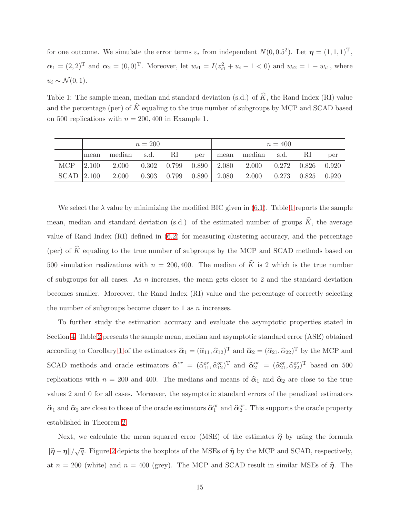for one outcome. We simulate the error terms  $\varepsilon_i$  from independent  $N(0, 0.5^2)$ . Let  $\boldsymbol{\eta} = (1, 1, 1)^T$ ,  $\alpha_1 = (2,2)^T$  and  $\alpha_2 = (0,0)^T$ . Moreover, let  $w_{i1} = I(z_{i1}^2 + u_i - 1 < 0)$  and  $w_{i2} = 1 - w_{i1}$ , where  $u_i \sim \mathcal{N}(0, 1).$ 

<span id="page-15-0"></span>Table 1: The sample mean, median and standard deviation (s.d.) of  $\hat{K}$ , the Rand Index (RI) value and the percentage (per) of  $\hat{K}$  equaling to the true number of subgroups by MCP and SCAD based on 500 replications with  $n = 200, 400$  in Example 1.

| $n = 200$ |                                                                  |  |  | $n = 400$ |  |  |  |  |     |
|-----------|------------------------------------------------------------------|--|--|-----------|--|--|--|--|-----|
| mean      | median s.d. RI per mean median s.d. RI                           |  |  |           |  |  |  |  | per |
|           | MCP 2.100 2.000 0.302 0.799 0.890 2.080 2.000 0.272 0.826 0.920  |  |  |           |  |  |  |  |     |
|           | SCAD 2.100 2.000 0.303 0.799 0.890 2.080 2.000 0.273 0.825 0.920 |  |  |           |  |  |  |  |     |

We select the  $\lambda$  value by minimizing the modified BIC given in [\(6.1\)](#page-14-1). Table [1](#page-15-0) reports the sample mean, median and standard deviation (s.d.) of the estimated number of groups  $\hat{K}$ , the average value of Rand Index (RI) defined in [\(6.2\)](#page-14-2) for measuring clustering accuracy, and the percentage (per) of  $\widehat{K}$  equaling to the true number of subgroups by the MCP and SCAD methods based on 500 simulation realizations with  $n = 200, 400$ . The median of  $\hat{K}$  is 2 which is the true number of subgroups for all cases. As  $n$  increases, the mean gets closer to 2 and the standard deviation becomes smaller. Moreover, the Rand Index (RI) value and the percentage of correctly selecting the number of subgroups become closer to  $1$  as  $n$  increases.

To further study the estimation accuracy and evaluate the asymptotic properties stated in Section [4,](#page-8-0) Table [2](#page-16-0) presents the sample mean, median and asymptotic standard error (ASE) obtained according to Corollary [1](#page-11-0) of the estimators  $\hat{\alpha}_1 = (\hat{\alpha}_{11}, \hat{\alpha}_{12})^T$  and  $\hat{\alpha}_2 = (\hat{\alpha}_{21}, \hat{\alpha}_{22})^T$  by the MCP and SCAD methods and oracle estimators  $\hat{\alpha}_1^{or} = (\hat{\alpha}_{11}^{or}, \hat{\alpha}_{12}^{or})^T$  and  $\hat{\alpha}_2^{or} = (\hat{\alpha}_{21}^{or}, \hat{\alpha}_{22}^{or})^T$  based on 500 replications with  $n = 200$  and 400. The medians and means of  $\hat{\alpha}_1$  and  $\hat{\alpha}_2$  are close to the true values 2 and 0 for all cases. Moreover, the asymptotic standard errors of the penalized estimators  $\hat{\alpha}_1$  and  $\hat{\alpha}_2$  are close to those of the oracle estimators  $\hat{\alpha}_1^{or}$  and  $\hat{\alpha}_2^{or}$ . This supports the oracle property established in Theorem [2.](#page-10-2)

Next, we calculate the mean squared error (MSE) of the estimates  $\hat{\eta}$  by using the formula  $\|\hat{\eta}-\eta\|/\sqrt{q}$ . Figure [2](#page-17-0) depicts the boxplots of the MSEs of  $\hat{\eta}$  by the MCP and SCAD, respectively, at  $n = 200$  (white) and  $n = 400$  (grey). The MCP and SCAD result in similar MSEs of  $\hat{\eta}$ . The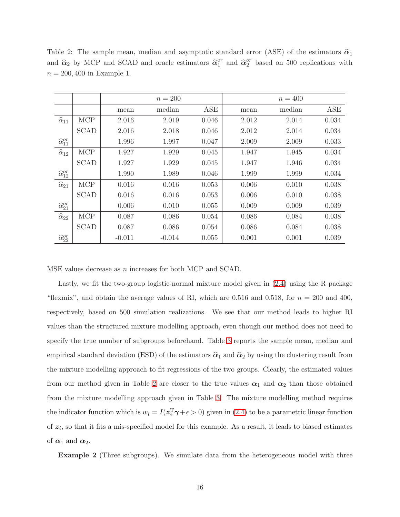|                              |             |          | $n = 200$ |            |       | $n = 400$ |       |
|------------------------------|-------------|----------|-----------|------------|-------|-----------|-------|
|                              |             | mean     | median    | <b>ASE</b> | mean  | median    | ASE   |
| $\widehat{\alpha}_{11}$      | <b>MCP</b>  | 2.016    | 2.019     | 0.046      | 2.012 | 2.014     | 0.034 |
|                              | <b>SCAD</b> | 2.016    | 2.018     | 0.046      | 2.012 | 2.014     | 0.034 |
| $\widehat{\alpha}_{11}^{or}$ |             | 1.996    | 1.997     | 0.047      | 2.009 | 2.009     | 0.033 |
| $\widehat{\alpha}_{12}$      | <b>MCP</b>  | 1.927    | 1.929     | 0.045      | 1.947 | 1.945     | 0.034 |
|                              | <b>SCAD</b> | 1.927    | 1.929     | 0.045      | 1.947 | 1.946     | 0.034 |
| $\widehat{\alpha}_{12}^{or}$ |             | 1.990    | 1.989     | 0.046      | 1.999 | 1.999     | 0.034 |
| $\widehat{\alpha}_{21}$      | <b>MCP</b>  | 0.016    | 0.016     | 0.053      | 0.006 | 0.010     | 0.038 |
|                              | <b>SCAD</b> | 0.016    | 0.016     | 0.053      | 0.006 | 0.010     | 0.038 |
| $\widehat{\alpha}^{or}_{21}$ |             | 0.006    | 0.010     | 0.055      | 0.009 | 0.009     | 0.039 |
| $\widehat{\alpha}_{22}$      | <b>MCP</b>  | 0.087    | 0.086     | 0.054      | 0.086 | 0.084     | 0.038 |
|                              | <b>SCAD</b> | 0.087    | 0.086     | 0.054      | 0.086 | 0.084     | 0.038 |
| $\widehat{\alpha}^{or}_{22}$ |             | $-0.011$ | $-0.014$  | 0.055      | 0.001 | 0.001     | 0.039 |

<span id="page-16-0"></span>Table 2: The sample mean, median and asymptotic standard error (ASE) of the estimators  $\hat{\alpha}_1$ and  $\hat{\alpha}_2$  by MCP and SCAD and oracle estimators  $\hat{\alpha}_1^{or}$  and  $\hat{\alpha}_2^{or}$  based on 500 replications with  $n = 200, 400$  in Example 1.

MSE values decrease as n increases for both MCP and SCAD.

Lastly, we fit the two-group logistic-normal mixture model given in [\(2.4\)](#page-4-1) using the R package "flexmix", and obtain the average values of RI, which are 0.516 and 0.518, for  $n = 200$  and 400, respectively, based on 500 simulation realizations. We see that our method leads to higher RI values than the structured mixture modelling approach, even though our method does not need to specify the true number of subgroups beforehand. Table [3](#page-17-1) reports the sample mean, median and empirical standard deviation (ESD) of the estimators  $\hat{\alpha}_1$  and  $\hat{\alpha}_2$  by using the clustering result from the mixture modelling approach to fit regressions of the two groups. Clearly, the estimated values from our method given in Table [2](#page-16-0) are closer to the true values  $\alpha_1$  and  $\alpha_2$  than those obtained from the mixture modelling approach given in Table [3.](#page-17-1) The mixture modelling method requires the indicator function which is  $w_i = I(z_i^T \gamma + \epsilon > 0)$  given in [\(2.4\)](#page-4-1) to be a parametric linear function of  $z_i$ , so that it fits a mis-specified model for this example. As a result, it leads to biased estimates of  $\alpha_1$  and  $\alpha_2$ .

Example 2 (Three subgroups). We simulate data from the heterogeneous model with three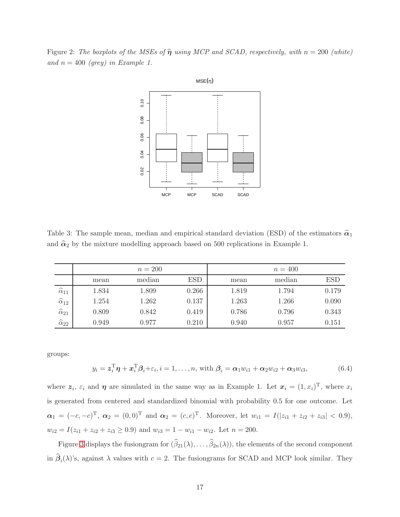<span id="page-17-0"></span>Figure 2: The boxplots of the MSEs of  $\hat{\eta}$  using MCP and SCAD, respectively, with  $n = 200$  (white) and  $n = 400$  (grey) in Example 1.



<span id="page-17-1"></span>Table 3: The sample mean, median and empirical standard deviation (ESD) of the estimators  $\hat{\alpha}_1$ and  $\hat{\alpha}_2$  by the mixture modelling approach based on 500 replications in Example 1.

|                         |       | $n = 200$ |            |       | $n = 400$ |            |
|-------------------------|-------|-----------|------------|-------|-----------|------------|
|                         | mean  | median    | <b>ESD</b> | mean  | median    | <b>ESD</b> |
| $\widehat{\alpha}_{11}$ | 1.834 | 1.809     | 0.266      | 1.819 | 1.794     | 0.179      |
| $\widehat{\alpha}_{12}$ | 1.254 | 1.262     | 0.137      | 1.263 | 1.266     | 0.090      |
| $\widehat{\alpha}_{21}$ | 0.809 | 0.842     | 0.419      | 0.786 | 0.796     | 0.343      |
| $\widehat{\alpha}_{22}$ | 0.949 | 0.977     | 0.210      | 0.940 | 0.957     | 0.151      |

groups:

$$
y_i = \boldsymbol{z}_i^{\mathrm{T}} \boldsymbol{\eta} + \boldsymbol{x}_i^{\mathrm{T}} \boldsymbol{\beta}_i + \varepsilon_i, i = 1, \dots, n, \text{ with } \boldsymbol{\beta}_i = \boldsymbol{\alpha}_1 w_{i1} + \boldsymbol{\alpha}_2 w_{i2} + \boldsymbol{\alpha}_3 w_{i3}, \tag{6.4}
$$

where  $z_i$ ,  $\varepsilon_i$  and  $\eta$  are simulated in the same way as in Example 1. Let  $x_i = (1, x_i)^T$ , where  $x_i$ is generated from centered and standardized binomial with probability 0.5 for one outcome. Let  $\alpha_1 = (-c, -c)^{\mathrm{T}}, \ \alpha_2 = (0, 0)^{\mathrm{T}}$  and  $\alpha_2 = (c, c)^{\mathrm{T}}$ . Moreover, let  $w_{i1} = I(|z_{i1} + z_{i2} + z_{i3}| < 0.9)$ ,  $w_{i2} = I(z_{i1} + z_{i2} + z_{i3} \ge 0.9)$  and  $w_{i3} = 1 - w_{i1} - w_{i2}$ . Let  $n = 200$ .

Figure [3](#page-18-0) displays the fusiongram for  $(\beta_{21}(\lambda), \dots, \beta_{2n}(\lambda))$ , the elements of the second component in  $\beta_i(\lambda)$ 's, against  $\lambda$  values with  $c = 2$ . The fusiongrams for SCAD and MCP look similar. They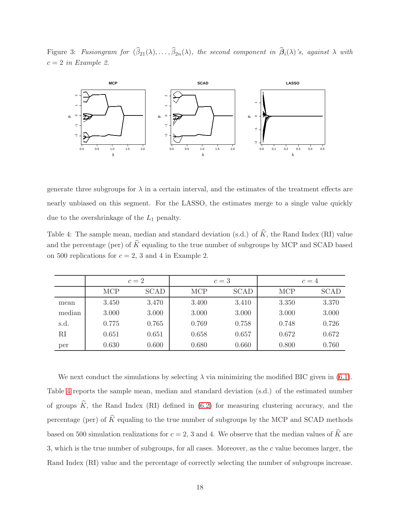<span id="page-18-0"></span>Figure 3: Fusiongram for  $(\beta_{21}(\lambda), \ldots, \beta_{2n}(\lambda))$ , the second component in  $\beta_i(\lambda)$ 's, against  $\lambda$  with  $c = 2$  in Example 2.



generate three subgroups for  $\lambda$  in a certain interval, and the estimates of the treatment effects are nearly unbiased on this segment. For the LASSO, the estimates merge to a single value quickly due to the overshrinkage of the  $L_1$  penalty.

<span id="page-18-1"></span>Table 4: The sample mean, median and standard deviation (s.d.) of  $\hat{K}$ , the Rand Index (RI) value and the percentage (per) of  $\hat{K}$  equaling to the true number of subgroups by MCP and SCAD based on 500 replications for  $c = 2$ , 3 and 4 in Example 2.

|        | $c=2$      |             |            | $c=3$       | $c=4$      |             |
|--------|------------|-------------|------------|-------------|------------|-------------|
|        | <b>MCP</b> | <b>SCAD</b> | <b>MCP</b> | <b>SCAD</b> | <b>MCP</b> | <b>SCAD</b> |
| mean   | 3.450      | 3.470       | 3.400      | 3.410       | 3.350      | 3.370       |
| median | 3.000      | 3.000       | 3.000      | 3.000       | 3.000      | 3.000       |
| s.d.   | 0.775      | 0.765       | 0.769      | 0.758       | 0.748      | 0.726       |
| RI     | 0.651      | 0.651       | 0.658      | 0.657       | 0.672      | 0.672       |
| per    | 0.630      | 0.600       | 0.680      | 0.660       | 0.800      | 0.760       |

We next conduct the simulations by selecting  $\lambda$  via minimizing the modified BIC given in [\(6.1\)](#page-14-1). Table [4](#page-18-1) reports the sample mean, median and standard deviation (s.d.) of the estimated number of groups  $\hat{K}$ , the Rand Index (RI) defined in [\(6.2\)](#page-14-2) for measuring clustering accuracy, and the percentage (per) of  $\hat{K}$  equaling to the true number of subgroups by the MCP and SCAD methods based on 500 simulation realizations for  $c = 2$ , 3 and 4. We observe that the median values of  $\hat{K}$  are 3, which is the true number of subgroups, for all cases. Moreover, as the c value becomes larger, the Rand Index (RI) value and the percentage of correctly selecting the number of subgroups increase.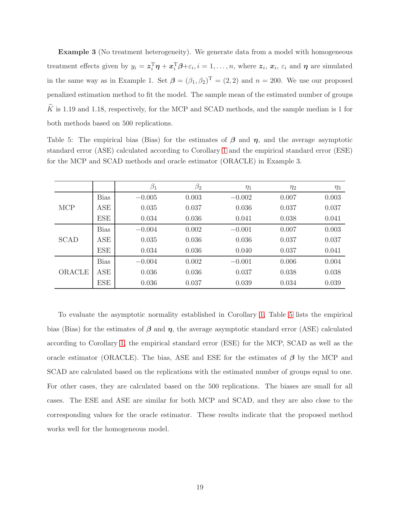**Example 3** (No treatment heterogeneity). We generate data from a model with homogeneous treatment effects given by  $y_i = \boldsymbol{z}_i^{\mathrm{T}} \boldsymbol{\eta} + \boldsymbol{x}_i^{\mathrm{T}} \boldsymbol{\beta} + \varepsilon_i, i = 1, \ldots, n$ , where  $\boldsymbol{z}_i, \boldsymbol{x}_i, \varepsilon_i$  and  $\boldsymbol{\eta}$  are simulated in the same way as in Example 1. Set  $\beta = (\beta_1, \beta_2)^T = (2, 2)$  and  $n = 200$ . We use our proposed penalized estimation method to fit the model. The sample mean of the estimated number of groups  $\hat{K}$  is 1.19 and 1.18, respectively, for the MCP and SCAD methods, and the sample median is 1 for both methods based on 500 replications.

<span id="page-19-0"></span>Table 5: The empirical bias (Bias) for the estimates of  $\beta$  and  $\eta$ , and the average asymptotic standard error (ASE) calculated according to Corollary [1](#page-11-0) and the empirical standard error (ESE) for the MCP and SCAD methods and oracle estimator (ORACLE) in Example 3.

|             |             | $\beta_1$ | $\beta_2$ | $\eta_1$ | $\eta_2$ | $\eta_3$ |
|-------------|-------------|-----------|-----------|----------|----------|----------|
|             | <b>Bias</b> | $-0.005$  | 0.003     | $-0.002$ | 0.007    | 0.003    |
| <b>MCP</b>  | ASE         | 0.035     | 0.037     | 0.036    | 0.037    | 0.037    |
|             | <b>ESE</b>  | 0.034     | 0.036     | 0.041    | 0.038    | 0.041    |
|             | <b>Bias</b> | $-0.004$  | 0.002     | $-0.001$ | 0.007    | 0.003    |
| <b>SCAD</b> | ASE         | 0.035     | 0.036     | 0.036    | 0.037    | 0.037    |
|             | <b>ESE</b>  | 0.034     | 0.036     | 0.040    | 0.037    | 0.041    |
| ORACLE      | <b>Bias</b> | $-0.004$  | 0.002     | $-0.001$ | 0.006    | 0.004    |
|             | ASE         | 0.036     | 0.036     | 0.037    | 0.038    | 0.038    |
|             | <b>ESE</b>  | 0.036     | 0.037     | 0.039    | 0.034    | 0.039    |
|             |             |           |           |          |          |          |

To evaluate the asymptotic normality established in Corollary [1,](#page-11-0) Table [5](#page-19-0) lists the empirical bias (Bias) for the estimates of  $\beta$  and  $\eta$ , the average asymptotic standard error (ASE) calculated according to Corollary [1,](#page-11-0) the empirical standard error (ESE) for the MCP, SCAD as well as the oracle estimator (ORACLE). The bias, ASE and ESE for the estimates of  $\beta$  by the MCP and SCAD are calculated based on the replications with the estimated number of groups equal to one. For other cases, they are calculated based on the 500 replications. The biases are small for all cases. The ESE and ASE are similar for both MCP and SCAD, and they are also close to the corresponding values for the oracle estimator. These results indicate that the proposed method works well for the homogeneous model.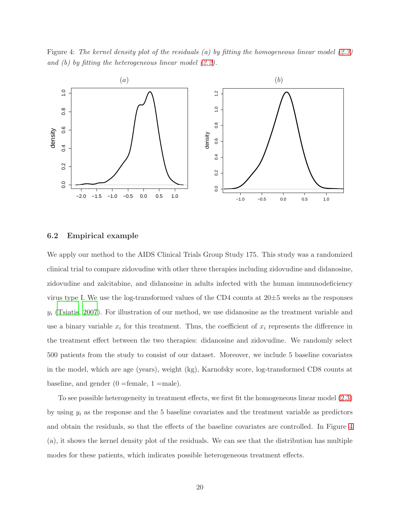<span id="page-20-0"></span>Figure 4: The kernel density plot of the residuals (a) by fitting the homogeneous linear model [\(2.3\)](#page-4-0) and (b) by fitting the heterogeneous linear model  $(2.2)$ .



#### 6.2 Empirical example

We apply our method to the AIDS Clinical Trials Group Study 175. This study was a randomized clinical trial to compare zidovudine with other three therapies including zidovudine and didanosine, zidovudine and zalcitabine, and didanosine in adults infected with the human immunodeficiency virus type I. We use the log-transformed values of the CD4 counts at  $20\pm5$  weeks as the responses  $y_i$  [\(Tsiatis, 2007](#page-42-7)). For illustration of our method, we use didanosine as the treatment variable and use a binary variable  $x_i$  for this treatment. Thus, the coefficient of  $x_i$  represents the difference in the treatment effect between the two therapies: didanosine and zidovudine. We randomly select 500 patients from the study to consist of our dataset. Moreover, we include 5 baseline covariates in the model, which are age (years), weight (kg), Karnofsky score, log-transformed CD8 counts at baseline, and gender  $(0 =$ female,  $1 =$ male).

To see possible heterogeneity in treatment effects, we first fit the homogeneous linear model [\(2.3\)](#page-4-0) by using  $y_i$  as the response and the 5 baseline covariates and the treatment variable as predictors and obtain the residuals, so that the effects of the baseline covariates are controlled. In Figure [4](#page-20-0) (a), it shows the kernel density plot of the residuals. We can see that the distribution has multiple modes for these patients, which indicates possible heterogeneous treatment effects.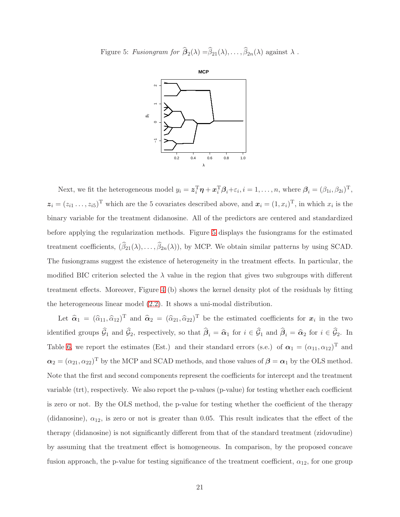<span id="page-21-0"></span>Figure 5: Fusiongram for  $\beta_2(\lambda) = \beta_{21}(\lambda), \ldots, \beta_{2n}(\lambda)$  against  $\lambda$ .



Next, we fit the heterogeneous model  $y_i = \boldsymbol{z}_i^{\mathrm{T}} \boldsymbol{\eta} + \boldsymbol{x}_i^{\mathrm{T}} \boldsymbol{\beta}_i + \varepsilon_i, i = 1, \dots, n$ , where  $\boldsymbol{\beta}_i = (\beta_{1i}, \beta_{2i})^{\mathrm{T}}$ ,  $z_i = (z_{i1} \ldots, z_{i5})^T$  which are the 5 covariates described above, and  $x_i = (1, x_i)^T$ , in which  $x_i$  is the binary variable for the treatment didanosine. All of the predictors are centered and standardized before applying the regularization methods. Figure [5](#page-21-0) displays the fusiongrams for the estimated treatment coefficients,  $(\beta_{21}(\lambda), \dots, \beta_{2n}(\lambda))$ , by MCP. We obtain similar patterns by using SCAD. The fusiongrams suggest the existence of heterogeneity in the treatment effects. In particular, the modified BIC criterion selected the  $\lambda$  value in the region that gives two subgroups with different treatment effects. Moreover, Figure [4](#page-20-0) (b) shows the kernel density plot of the residuals by fitting the heterogeneous linear model [\(2.2\)](#page-3-2). It shows a uni-modal distribution.

Let  $\hat{\alpha}_1 = (\hat{\alpha}_{11}, \hat{\alpha}_{12})^T$  and  $\hat{\alpha}_2 = (\hat{\alpha}_{21}, \hat{\alpha}_{22})^T$  be the estimated coefficients for  $x_i$  in the two identified groups  $\mathcal{G}_1$  and  $\mathcal{G}_2$ , respectively, so that  $\mathcal{B}_i = \hat{\alpha}_1$  for  $i \in \mathcal{G}_1$  and  $\mathcal{B}_i = \hat{\alpha}_2$  for  $i \in \mathcal{G}_2$ . In Table [6,](#page-22-0) we report the estimates (Est.) and their standard errors (s.e.) of  $\alpha_1 = (\alpha_{11}, \alpha_{12})^T$  and  $\alpha_2 = (\alpha_{21}, \alpha_{22})^T$  by the MCP and SCAD methods, and those values of  $\beta = \alpha_1$  by the OLS method. Note that the first and second components represent the coefficients for intercept and the treatment variable (trt), respectively. We also report the p-values (p-value) for testing whether each coefficient is zero or not. By the OLS method, the p-value for testing whether the coefficient of the therapy (didanosine),  $\alpha_{12}$ , is zero or not is greater than 0.05. This result indicates that the effect of the therapy (didanosine) is not significantly different from that of the standard treatment (zidovudine) by assuming that the treatment effect is homogeneous. In comparison, by the proposed concave fusion approach, the p-value for testing significance of the treatment coefficient,  $\alpha_{12}$ , for one group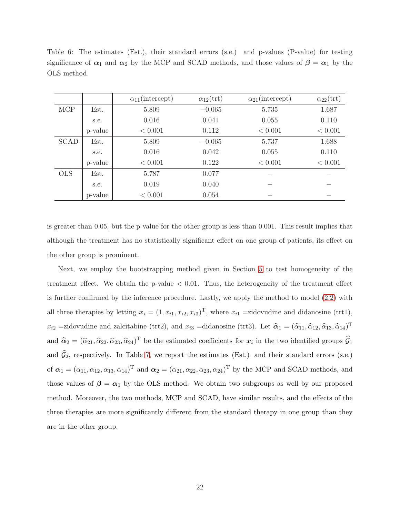|             |         | $\alpha_{11}$ (intercept) | $\alpha_{12}(\text{trt})$ | $\alpha_{21}$ (intercept) | $\alpha_{22}(\text{trt})$ |
|-------------|---------|---------------------------|---------------------------|---------------------------|---------------------------|
| <b>MCP</b>  | Est.    | 5.809                     | $-0.065$                  | 5.735                     | 1.687                     |
|             | s.e.    | 0.016                     | 0.041                     | 0.055                     | 0.110                     |
|             | p-value | < 0.001                   | 0.112                     | < 0.001                   | < 0.001                   |
| <b>SCAD</b> | Est.    | 5.809                     | $-0.065$                  | 5.737                     | 1.688                     |
|             | s.e.    | 0.016                     | 0.042                     | 0.055                     | 0.110                     |
|             | p-value | < 0.001                   | 0.122                     | < 0.001                   | < 0.001                   |
| <b>OLS</b>  | Est.    | 5.787                     | 0.077                     |                           |                           |
|             | s.e.    | 0.019                     | 0.040                     |                           |                           |
|             | p-value | < 0.001                   | 0.054                     |                           |                           |

<span id="page-22-0"></span>Table 6: The estimates (Est.), their standard errors (s.e.) and p-values (P-value) for testing significance of  $\alpha_1$  and  $\alpha_2$  by the MCP and SCAD methods, and those values of  $\beta = \alpha_1$  by the OLS method.

is greater than 0.05, but the p-value for the other group is less than 0.001. This result implies that although the treatment has no statistically significant effect on one group of patients, its effect on the other group is prominent.

Next, we employ the bootstrapping method given in Section [5](#page-13-0) to test homogeneity of the treatment effect. We obtain the p-value  $< 0.01$ . Thus, the heterogeneity of the treatment effect is further confirmed by the inference procedure. Lastly, we apply the method to model [\(2.2\)](#page-3-2) with all three therapies by letting  $x_i = (1, x_{i1}, x_{i2}, x_{i3})^T$ , where  $x_{i1}$  =zidovudine and didanosine (trt1),  $x_{i2}$  =zidovudine and zalcitabine (trt2), and  $x_{i3}$  =didanosine (trt3). Let  $\hat{\alpha}_1 = (\hat{\alpha}_{11}, \hat{\alpha}_{12}, \hat{\alpha}_{13}, \hat{\alpha}_{14})^T$ and  $\hat{\alpha}_2 = (\hat{\alpha}_{21}, \hat{\alpha}_{22}, \hat{\alpha}_{23}, \hat{\alpha}_{24})^{\text{T}}$  be the estimated coefficients for  $x_i$  in the two identified groups  $\hat{\mathcal{G}}_1$ and  $\hat{\mathcal{G}}_2$ , respectively. In Table [7,](#page-23-1) we report the estimates (Est.) and their standard errors (s.e.) of  $\boldsymbol{\alpha}_1 = (\alpha_{11}, \alpha_{12}, \alpha_{13}, \alpha_{14})^{\text{T}}$  and  $\boldsymbol{\alpha}_2 = (\alpha_{21}, \alpha_{22}, \alpha_{23}, \alpha_{24})^{\text{T}}$  by the MCP and SCAD methods, and those values of  $\beta = \alpha_1$  by the OLS method. We obtain two subgroups as well by our proposed method. Moreover, the two methods, MCP and SCAD, have similar results, and the effects of the three therapies are more significantly different from the standard therapy in one group than they are in the other group.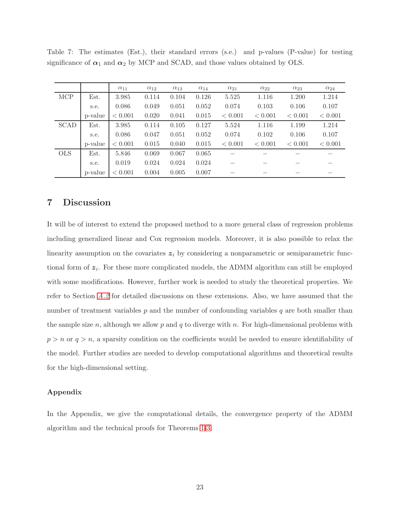|             |         | $\alpha_{11}$ | $\alpha_{12}$ | $\alpha_{13}$ | $\alpha_{14}$ | $\alpha_{21}$ | $\alpha_{22}$ | $\alpha_{23}$ | $\alpha_{24}$ |
|-------------|---------|---------------|---------------|---------------|---------------|---------------|---------------|---------------|---------------|
| <b>MCP</b>  | Est.    | 3.985         | 0.114         | 0.104         | 0.126         | 5.525         | 1.116         | 1.200         | 1.214         |
|             | s.e.    | 0.086         | 0.049         | 0.051         | 0.052         | 0.074         | 0.103         | 0.106         | 0.107         |
|             | p-value | < 0.001       | 0.020         | 0.041         | 0.015         | < 0.001       | < 0.001       | < 0.001       | < 0.001       |
| <b>SCAD</b> | Est.    | 3.985         | 0.114         | 0.105         | 0.127         | 5.524         | 1.116         | 1.199         | 1.214         |
|             | s.e.    | 0.086         | 0.047         | 0.051         | 0.052         | 0.074         | 0.102         | 0.106         | 0.107         |
|             | p-value | < 0.001       | 0.015         | 0.040         | 0.015         | < 0.001       | < 0.001       | < 0.001       | < 0.001       |
| <b>OLS</b>  | Est.    | 5.846         | 0.069         | 0.067         | 0.065         |               |               |               |               |
|             | s.e.    | 0.019         | 0.024         | 0.024         | 0.024         |               |               |               |               |
|             | p-value | < 0.001       | 0.004         | 0.005         | 0.007         |               |               |               |               |

<span id="page-23-1"></span>Table 7: The estimates (Est.), their standard errors (s.e.) and p-values (P-value) for testing significance of  $\alpha_1$  and  $\alpha_2$  by MCP and SCAD, and those values obtained by OLS.

# <span id="page-23-0"></span>7 Discussion

It will be of interest to extend the proposed method to a more general class of regression problems including generalized linear and Cox regression models. Moreover, it is also possible to relax the linearity assumption on the covariates  $z_i$  by considering a nonparametric or semiparametric functional form of  $z_i$ . For these more complicated models, the ADMM algorithm can still be employed with some modifications. However, further work is needed to study the theoretical properties. We refer to Section [A.2](#page-29-0) for detailed discussions on these extensions. Also, we have assumed that the number of treatment variables  $p$  and the number of confounding variables  $q$  are both smaller than the sample size n, although we allow p and q to diverge with n. For high-dimensional problems with  $p > n$  or  $q > n$ , a sparsity condition on the coefficients would be needed to ensure identifiability of the model. Further studies are needed to develop computational algorithms and theoretical results for the high-dimensional setting.

#### Appendix

In the Appendix, we give the computational details, the convergence property of the ADMM algorithm and the technical proofs for Theorems [1](#page-9-0)[-3.](#page-12-0)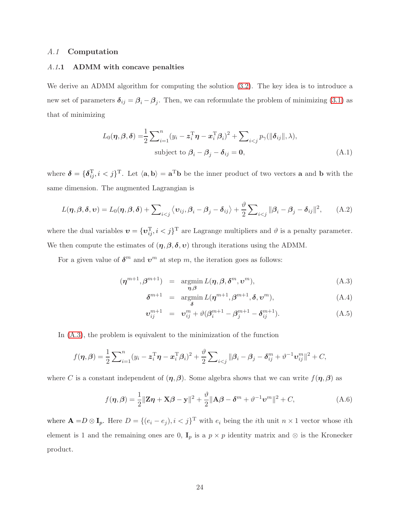#### <span id="page-24-2"></span>A.1 Computation

### A.1.1 ADMM with concave penalties

We derive an ADMM algorithm for computing the solution  $(3.2)$ . The key idea is to introduce a new set of parameters  $\delta_{ij} = \beta_i - \beta_j$ . Then, we can reformulate the problem of minimizing [\(3.1\)](#page-6-0) as that of minimizing

$$
L_0(\boldsymbol{\eta}, \boldsymbol{\beta}, \boldsymbol{\delta}) = \frac{1}{2} \sum_{i=1}^n (y_i - \boldsymbol{z}_i^{\mathrm{T}} \boldsymbol{\eta} - \boldsymbol{x}_i^{\mathrm{T}} \boldsymbol{\beta}_i)^2 + \sum_{i < j} p_\gamma(\|\boldsymbol{\delta}_{ij}\|, \lambda),
$$
\nsubject to  $\boldsymbol{\beta}_i - \boldsymbol{\beta}_j - \boldsymbol{\delta}_{ij} = \mathbf{0},$ \n(A.1)

where  $\boldsymbol{\delta} = {\{\boldsymbol{\delta}_{ij}^{\mathrm{T}}, i < j\}^{\mathrm{T}}}$ . Let  $\langle \mathbf{a}, \mathbf{b} \rangle = \mathbf{a}^{\mathrm{T}} \mathbf{b}$  be the inner product of two vectors **a** and **b** with the same dimension. The augmented Lagrangian is

$$
L(\boldsymbol{\eta}, \boldsymbol{\beta}, \boldsymbol{\delta}, \boldsymbol{v}) = L_0(\boldsymbol{\eta}, \boldsymbol{\beta}, \boldsymbol{\delta}) + \sum_{i < j} \langle \boldsymbol{v}_{ij}, \boldsymbol{\beta}_i - \boldsymbol{\beta}_j - \boldsymbol{\delta}_{ij} \rangle + \frac{\vartheta}{2} \sum_{i < j} ||\boldsymbol{\beta}_i - \boldsymbol{\beta}_j - \boldsymbol{\delta}_{ij}||^2, \tag{A.2}
$$

where the dual variables  $\mathbf{v} = {\{\mathbf{v}_{ij}^{\mathrm{T}}, i < j\}}^{\mathrm{T}}$  are Lagrange multipliers and  $\vartheta$  is a penalty parameter. We then compute the estimates of  $(\eta, \beta, \delta, v)$  through iterations using the ADMM.

For a given value of  $\boldsymbol{\delta}^m$  and  $\boldsymbol{v}^m$  at step m, the iteration goes as follows:

<span id="page-24-0"></span>
$$
(\eta^{m+1}, \beta^{m+1}) = \underset{\eta, \beta}{\text{argmin}} L(\eta, \beta, \delta^m, \upsilon^m), \tag{A.3}
$$

$$
\delta^{m+1} = \underset{\delta}{\operatorname{argmin}} L(\boldsymbol{\eta}^{m+1}, \boldsymbol{\beta}^{m+1}, \boldsymbol{\delta}, \boldsymbol{\upsilon}^m), \qquad (A.4)
$$

$$
\boldsymbol{v}_{ij}^{m+1} = \boldsymbol{v}_{ij}^m + \vartheta (\boldsymbol{\beta}_i^{m+1} - \boldsymbol{\beta}_j^{m+1} - \boldsymbol{\delta}_{ij}^{m+1}). \tag{A.5}
$$

In [\(A.3\)](#page-24-0), the problem is equivalent to the minimization of the function

$$
f(\boldsymbol{\eta}, \boldsymbol{\beta}) = \frac{1}{2} \sum_{i=1}^{n} (y_i - \boldsymbol{z}_i^{\mathrm{T}} \boldsymbol{\eta} - \boldsymbol{x}_i^{\mathrm{T}} \boldsymbol{\beta}_i)^2 + \frac{\vartheta}{2} \sum_{i < j} ||\boldsymbol{\beta}_i - \boldsymbol{\beta}_j - \boldsymbol{\delta}_{ij}^m + \boldsymbol{\vartheta}^{-1} \boldsymbol{v}_{ij}^m||^2 + C,
$$

where C is a constant independent of  $(\eta, \beta)$ . Some algebra shows that we can write  $f(\eta, \beta)$  as

<span id="page-24-1"></span>
$$
f(\boldsymbol{\eta}, \boldsymbol{\beta}) = \frac{1}{2} ||\mathbf{Z}\boldsymbol{\eta} + \mathbf{X}\boldsymbol{\beta} - \mathbf{y}||^2 + \frac{\vartheta}{2} ||\mathbf{A}\boldsymbol{\beta} - \boldsymbol{\delta}^m + \boldsymbol{\vartheta}^{-1}\mathbf{v}^m||^2 + C,
$$
 (A.6)

where  $\mathbf{A} = D \otimes \mathbf{I}_p$ . Here  $D = \{ (e_i - e_j), i < j \}^T$  with  $e_i$  being the *i*th unit  $n \times 1$  vector whose *i*th element is 1 and the remaining ones are 0,  $\mathbf{I}_p$  is a  $p \times p$  identity matrix and ⊗ is the Kronecker product.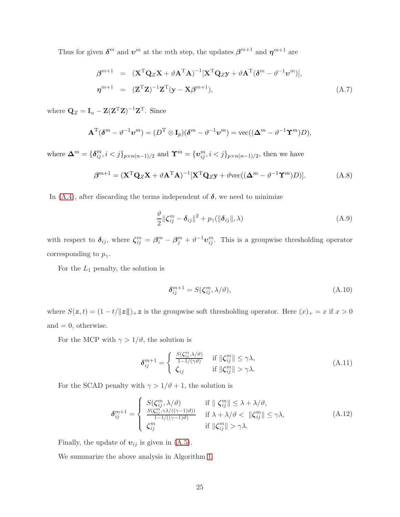Thus for given  $\boldsymbol{\delta}^m$  and  $\boldsymbol{v}^m$  at the mth step, the updates  $\boldsymbol{\beta}^{m+1}$  and  $\boldsymbol{\eta}^{m+1}$  are

<span id="page-25-1"></span>
$$
\beta^{m+1} = (\mathbf{X}^{\mathrm{T}} \mathbf{Q}_Z \mathbf{X} + \vartheta \mathbf{A}^{\mathrm{T}} \mathbf{A})^{-1} [\mathbf{X}^{\mathrm{T}} \mathbf{Q}_Z \mathbf{y} + \vartheta \mathbf{A}^{\mathrm{T}} (\delta^m - \vartheta^{-1} \mathbf{v}^m)],
$$
  
\n
$$
\eta^{m+1} = (\mathbf{Z}^{\mathrm{T}} \mathbf{Z})^{-1} \mathbf{Z}^{\mathrm{T}} (\mathbf{y} - \mathbf{X} \beta^{m+1}),
$$
\n(A.7)

where  $\mathbf{Q}_Z = \mathbf{I}_n - \mathbf{Z}(\mathbf{Z}^T \mathbf{Z})^{-1} \mathbf{Z}^T$ . Since

$$
\mathbf{A}^{\mathrm{T}}(\boldsymbol{\delta}^m - \vartheta^{-1} \boldsymbol{v}^m) = (D^{\mathrm{T}} \otimes \mathbf{I}_p)(\boldsymbol{\delta}^m - \vartheta^{-1} \boldsymbol{v}^m) = \text{vec}((\boldsymbol{\Delta}^m - \vartheta^{-1} \boldsymbol{\Upsilon}^m)D),
$$

where  $\mathbf{\Delta}^m = {\delta_{ij}^m, i < j}_{p \times n(n-1)/2}$  and  $\mathbf{\Upsilon}^m = {\mathbf{v}_{ij}^m, i < j}_{p \times n(n-1)/2}$ , then we have

<span id="page-25-0"></span>
$$
\boldsymbol{\beta}^{m+1} = (\mathbf{X}^{\mathrm{T}} \mathbf{Q}_Z \mathbf{X} + \vartheta \mathbf{A}^{\mathrm{T}} \mathbf{A})^{-1} [\mathbf{X}^{\mathrm{T}} \mathbf{Q}_Z \mathbf{y} + \vartheta \text{vec}((\boldsymbol{\Delta}^m - \vartheta^{-1} \boldsymbol{\Upsilon}^m) D)]. \tag{A.8}
$$

In  $(A.4)$ , after discarding the terms independent of  $\delta$ , we need to minimize

$$
\frac{\vartheta}{2} \|\boldsymbol{\zeta}_{ij}^m - \boldsymbol{\delta}_{ij}\|^2 + p_{\gamma}(\|\boldsymbol{\delta}_{ij}\|, \lambda) \tag{A.9}
$$

with respect to  $\delta_{ij}$ , where  $\zeta_{ij}^m = \beta_i^m - \beta_j^m + \vartheta^{-1} \nu_{ij}^m$ . This is a groupwise thresholding operator corresponding to  $p_{\gamma}$ .

For the  $L_1$  penalty, the solution is

<span id="page-25-2"></span>
$$
\delta_{ij}^{m+1} = S(\zeta_{ij}^m, \lambda/\vartheta), \tag{A.10}
$$

where  $S(z, t) = (1 - t/||z||)_+ z$  is the groupwise soft thresholding operator. Here  $(x)_+ = x$  if  $x > 0$ and  $= 0$ , otherwise.

For the MCP with  $\gamma > 1/\vartheta$ , the solution is

<span id="page-25-3"></span>
$$
\delta_{ij}^{m+1} = \begin{cases}\n\frac{S(\zeta_{ij}^m, \lambda/\vartheta)}{1 - 1/(\gamma \vartheta)} & \text{if } \|\zeta_{ij}^m\| \leq \gamma \lambda, \\
\zeta_{ij} & \text{if } \|\zeta_{ij}^m\| > \gamma \lambda.\n\end{cases} (A.11)
$$

For the SCAD penalty with  $\gamma > 1/\vartheta + 1$ , the solution is

<span id="page-25-4"></span>
$$
\delta_{ij}^{m+1} = \begin{cases}\nS(\zeta_{ij}^m, \lambda/\vartheta) & \text{if } \|\zeta_{ij}^m\| \leq \lambda + \lambda/\vartheta, \\
\frac{S(\zeta_{ij}^m, \gamma \lambda/((\gamma - 1)\vartheta))}{1 - 1/((\gamma - 1)\vartheta)} & \text{if } \lambda + \lambda/\vartheta < \|\zeta_{ij}^m\| \leq \gamma\lambda, \\
\zeta_{ij}^m & \text{if } \|\zeta_{ij}^m\| > \gamma\lambda.\n\end{cases} \tag{A.12}
$$

Finally, the update of  $v_{ij}$  is given in [\(A.5\)](#page-24-0).

We summarize the above analysis in Algorithm [1.](#page-26-1)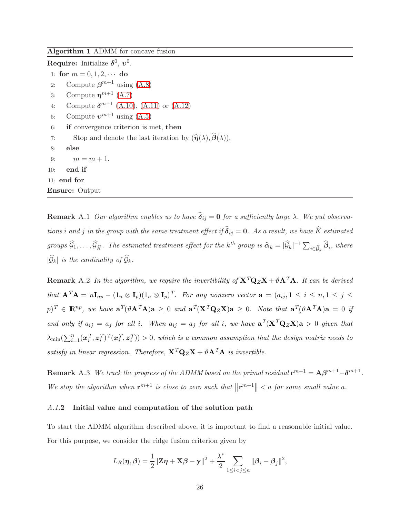#### <span id="page-26-1"></span>Algorithm 1 ADMM for concave fusion

Require: Initialize  $\delta^0, v^0$ .

- 1: for  $m = 0, 1, 2, \cdots$  do
- 2: Compute  $\beta^{m+1}$  using [\(A.8\)](#page-25-0)
- 3: Compute  $\eta^{m+1}$  [\(A.7\)](#page-25-1)
- 4: Compute  $\delta^{m+1}$  [\(A.10\)](#page-25-2), [\(A.11\)](#page-25-3) or [\(A.12\)](#page-25-4)
- 5: Compute  $v^{m+1}$  using  $(A.5)$
- 6: if convergence criterion is met, then
- 7: Stop and denote the last iteration by  $(\hat{\eta}(\lambda), \hat{\beta}(\lambda)),$
- 8: else 9:  $m = m + 1$ .
- 
- 10: end if
- 11: end for

Ensure: Output

**Remark** A.1 Our algorithm enables us to have  $\hat{\delta}_{ij} = 0$  for a sufficiently large  $\lambda$ . We put observations i and j in the group with the same treatment effect if  $\hat{\delta}_{ij} = 0$ . As a result, we have  $\hat{K}$  estimated groups  $\widehat{\mathcal{G}}_1,\ldots,\widehat{\mathcal{G}}_{\widehat{K}}$ . The estimated treatment effect for the k<sup>th</sup> group is  $\widehat{\alpha}_k = |\widehat{\mathcal{G}}_k|^{-1} \sum_{i \in \widehat{\mathcal{G}}_k} \widehat{\beta}_i$ , where  $|\mathcal{G}_k|$  is the cardinality of  $\mathcal{G}_k$ .

<span id="page-26-0"></span>**Remark** A.2 In the algorithm, we require the invertibility of  $X^TQ_ZX + \vartheta A^T A$ . It can be derived that  $\mathbf{A}^T \mathbf{A} = n \mathbf{I}_{np} - (1_n \otimes \mathbf{I}_p)(1_n \otimes \mathbf{I}_p)^T$ . For any nonzero vector  $\mathbf{a} = (a_{ij}, 1 \le i \le n, 1 \le j \le n)$  $p)^T \in \mathbb{R}^{np}$ , we have  $\mathbf{a}^T(\vartheta \mathbf{A}^T \mathbf{A})\mathbf{a} \geq 0$  and  $\mathbf{a}^T(\mathbf{X}^T \mathbf{Q}_Z \mathbf{X})\mathbf{a} \geq 0$ . Note that  $\mathbf{a}^T(\vartheta \mathbf{A}^T \mathbf{A})\mathbf{a} = 0$  if and only if  $a_{ij} = a_j$  for all i. When  $a_{ij} = a_j$  for all i, we have  $\mathbf{a}^T (\mathbf{X}^T \mathbf{Q}_Z \mathbf{X}) \mathbf{a} > 0$  given that  $\lambda_{\min}(\sum_{i=1}^n (\bm{x}_i^T$  $_i^T, z_i^T$  $_{i}^{T})^{T}(\boldsymbol{x}_{i}^{T}% )=\sum_{i}^{\infty }C_{i}^{T}\boldsymbol{x}_{i}^{T}(\boldsymbol{x}_{i}^{T})$  $_i^T, z_i^T$  $\binom{T}{i}$  > 0, which is a common assumption that the design matrix needs to satisfy in linear regression. Therefore,  $X^T Q_Z X + \vartheta A^T A$  is invertible.

**Remark** A.3 We track the progress of the ADMM based on the primal residual  $\mathbf{r}^{m+1} = \mathbf{A}\boldsymbol{\beta}^{m+1} - \boldsymbol{\delta}^{m+1}$ . We stop the algorithm when  $r^{m+1}$  is close to zero such that  $||r^{m+1}|| < a$  for some small value a.

### A.1.2 Initial value and computation of the solution path

To start the ADMM algorithm described above, it is important to find a reasonable initial value. For this purpose, we consider the ridge fusion criterion given by

$$
L_R(\boldsymbol{\eta},\boldsymbol{\beta}) = \frac{1}{2} ||\mathbf{Z}\boldsymbol{\eta} + \mathbf{X}\boldsymbol{\beta} - \mathbf{y}||^2 + \frac{\lambda^*}{2} \sum_{1 \leq i < j \leq n} ||\boldsymbol{\beta}_i - \boldsymbol{\beta}_j||^2,
$$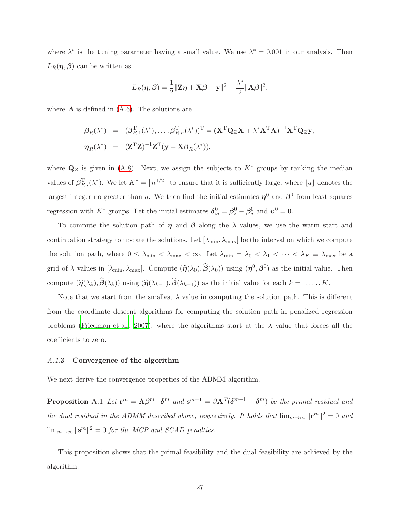where  $\lambda^*$  is the tuning parameter having a small value. We use  $\lambda^* = 0.001$  in our analysis. Then  $L_R(\eta,\beta)$  can be written as

$$
L_R(\boldsymbol{\eta},\boldsymbol{\beta}) = \frac{1}{2} ||\mathbf{Z}\boldsymbol{\eta} + \mathbf{X}\boldsymbol{\beta} - \mathbf{y}||^2 + \frac{\lambda^*}{2} ||\mathbf{A}\boldsymbol{\beta}||^2,
$$

where  $\boldsymbol{A}$  is defined in  $(A.6)$ . The solutions are

$$
\begin{array}{rcl}\n\beta_R(\lambda^*) & = & (\beta_{R,1}^{\mathrm{T}}(\lambda^*), \dots, \beta_{R,n}^{\mathrm{T}}(\lambda^*))^{\mathrm{T}} = (\mathbf{X}^{\mathrm{T}} \mathbf{Q}_Z \mathbf{X} + \lambda^* \mathbf{A}^{\mathrm{T}} \mathbf{A})^{-1} \mathbf{X}^{\mathrm{T}} \mathbf{Q}_Z \mathbf{y}, \\
\eta_R(\lambda^*) & = & (\mathbf{Z}^{\mathrm{T}} \mathbf{Z})^{-1} \mathbf{Z}^{\mathrm{T}} (\mathbf{y} - \mathbf{X} \beta_R(\lambda^*)),\n\end{array}
$$

where  $\mathbf{Q}_Z$  is given in [\(A.8\)](#page-25-0). Next, we assign the subjects to  $K^*$  groups by ranking the median values of  $\beta_{R,i}^{\mathrm{T}}(\lambda^*)$ . We let  $K^* = \lfloor n^{1/2} \rfloor$  to ensure that it is sufficiently large, where  $\lfloor a \rfloor$  denotes the largest integer no greater than a. We then find the initial estimates  $\eta^0$  and  $\beta^0$  from least squares regression with  $K^*$  groups. Let the initial estimates  $\delta_{ij}^0 = \beta_i^0 - \beta_j^0$  and  $v^0 = 0$ .

To compute the solution path of  $\eta$  and  $\beta$  along the  $\lambda$  values, we use the warm start and continuation strategy to update the solutions. Let  $[\lambda_{\min}, \lambda_{\max}]$  be the interval on which we compute the solution path, where  $0 \leq \lambda_{\min} < \lambda_{\max} < \infty$ . Let  $\lambda_{\min} = \lambda_0 < \lambda_1 < \cdots < \lambda_K \equiv \lambda_{\max}$  be a grid of  $\lambda$  values in  $[\lambda_{\min}, \lambda_{\max}]$ . Compute  $(\hat{\eta}(\lambda_0), \hat{\beta}(\lambda_0))$  using  $(\eta^0, \beta^0)$  as the initial value. Then compute  $(\widehat{\boldsymbol{\eta}}(\lambda_k), \widehat{\boldsymbol{\beta}}(\lambda_k))$  using  $(\widehat{\boldsymbol{\eta}}(\lambda_{k-1}), \widehat{\boldsymbol{\beta}}(\lambda_{k-1}))$  as the initial value for each  $k = 1, ..., K$ .

Note that we start from the smallest  $\lambda$  value in computing the solution path. This is different from the coordinate descent algorithms for computing the solution path in penalized regression problems [\(Friedman et al.](#page-40-7), [2007](#page-40-7)), where the algorithms start at the  $\lambda$  value that forces all the coefficients to zero.

#### A.1.3 Convergence of the algorithm

We next derive the convergence properties of the ADMM algorithm.

**Proposition** A.1 Let  $\mathbf{r}^m = \mathbf{A}\boldsymbol{\beta}^m - \boldsymbol{\delta}^m$  and  $\mathbf{s}^{m+1} = \vartheta \mathbf{A}^T(\boldsymbol{\delta}^{m+1} - \boldsymbol{\delta}^m)$  be the primal residual and the dual residual in the ADMM described above, respectively. It holds that  $\lim_{m\to\infty} ||\mathbf{r}^m||^2 = 0$  and  $\lim_{m\to\infty} \|\mathbf{s}^m\|^2 = 0$  for the MCP and SCAD penalties.

This proposition shows that the primal feasibility and the dual feasibility are achieved by the algorithm.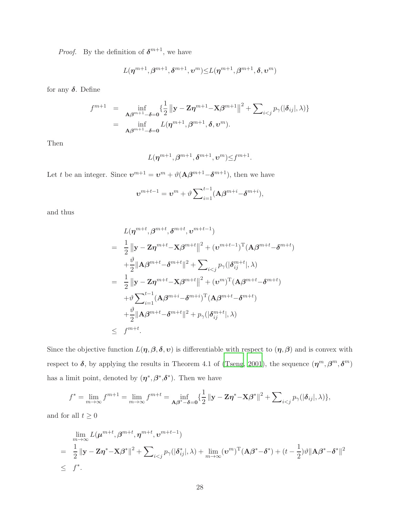*Proof.* By the definition of  $\delta^{m+1}$ , we have

$$
L(\boldsymbol{\eta}^{m+1},\boldsymbol{\beta}^{m+1},\boldsymbol{\delta}^{m+1},\boldsymbol{v}^m) {\leq} L(\boldsymbol{\eta}^{m+1},\boldsymbol{\beta}^{m+1},\boldsymbol{\delta},\boldsymbol{v}^m)
$$

for any  $\delta$ . Define

$$
f^{m+1} = \inf_{\mathbf{A}\boldsymbol{\beta}^{m+1}-\boldsymbol{\delta}=\boldsymbol{0}} \left\{ \frac{1}{2} \left\| \mathbf{y} - \mathbf{Z}\boldsymbol{\eta}^{m+1} - \mathbf{X}\boldsymbol{\beta}^{m+1} \right\|^2 + \sum_{i < j} p_{\gamma}(|\boldsymbol{\delta}_{ij}|, \lambda) \right\}
$$
\n
$$
= \inf_{\mathbf{A}\boldsymbol{\beta}^{m+1}-\boldsymbol{\delta}=\boldsymbol{0}} L(\boldsymbol{\eta}^{m+1}, \boldsymbol{\beta}^{m+1}, \boldsymbol{\delta}, \boldsymbol{\upsilon}^m).
$$

Then

$$
L(\boldsymbol{\eta}^{m+1},\boldsymbol{\beta}^{m+1},\boldsymbol{\delta}^{m+1},\boldsymbol{v}^m) \leq f^{m+1}.
$$

Let t be an integer. Since  $\mathbf{v}^{m+1} = \mathbf{v}^m + \vartheta(\mathbf{A}\boldsymbol{\beta}^{m+1} - \boldsymbol{\delta}^{m+1}),$  then we have

$$
\boldsymbol{v}^{m+t-1} = \boldsymbol{v}^m + \vartheta \sum_{i=1}^{t-1} (\mathbf{A}\boldsymbol{\beta}^{m+i} - \boldsymbol{\delta}^{m+i}),
$$

and thus

$$
L(\boldsymbol{\eta}^{m+t}, \boldsymbol{\beta}^{m+t}, \boldsymbol{\delta}^{m+t}, \boldsymbol{\upsilon}^{m+t-1})
$$
\n
$$
= \frac{1}{2} ||\mathbf{y} - \mathbf{Z}\boldsymbol{\eta}^{m+t} - \mathbf{X}\boldsymbol{\beta}^{m+t}||^{2} + (\boldsymbol{\upsilon}^{m+t-1})^{\mathrm{T}}(\mathbf{A}\boldsymbol{\beta}^{m+t} - \boldsymbol{\delta}^{m+t})
$$
\n
$$
+ \frac{\vartheta}{2} ||\mathbf{A}\boldsymbol{\beta}^{m+t} - \boldsymbol{\delta}^{m+t}||^{2} + \sum_{i < j} p_{\gamma} (|\boldsymbol{\delta}_{ij}^{m+t}|, \lambda)
$$
\n
$$
= \frac{1}{2} ||\mathbf{y} - \mathbf{Z}\boldsymbol{\eta}^{m+t} - \mathbf{X}\boldsymbol{\beta}^{m+t}||^{2} + (\boldsymbol{\upsilon}^{m})^{\mathrm{T}}(\mathbf{A}\boldsymbol{\beta}^{m+t} - \boldsymbol{\delta}^{m+t})
$$
\n
$$
+ \vartheta \sum_{i=1}^{t-1} (\mathbf{A}\boldsymbol{\beta}^{m+i} - \boldsymbol{\delta}^{m+i})^{\mathrm{T}}(\mathbf{A}\boldsymbol{\beta}^{m+t} - \boldsymbol{\delta}^{m+t})
$$
\n
$$
+ \frac{\vartheta}{2} ||\mathbf{A}\boldsymbol{\beta}^{m+t} - \boldsymbol{\delta}^{m+t}||^{2} + p_{\gamma} (|\boldsymbol{\delta}_{ij}^{m+t}|, \lambda)
$$
\n
$$
\leq f^{m+t}.
$$

Since the objective function  $L(\eta,\beta,\delta,\nu)$  is differentiable with respect to  $(\eta,\beta)$  and is convex with respect to  $\delta$ , by applying the results in Theorem 4.1 of [\(Tseng, 2001](#page-42-8)), the sequence  $(\eta^m, \beta^m, \delta^m)$ has a limit point, denoted by  $(\eta^*, \beta^*, \delta^*)$ . Then we have

$$
f^* = \lim_{m \to \infty} f^{m+1} = \lim_{m \to \infty} f^{m+t} = \inf_{\mathbf{A}\beta^* - \delta = 0} \{ \frac{1}{2} \| \mathbf{y} - \mathbf{Z}\boldsymbol{\eta}^* - \mathbf{X}\beta^* \|^2 + \sum_{i < j} p_{\gamma}(|\delta_{ij}|, \lambda) \},
$$

and for all  $t \geq 0$ 

$$
\lim_{m\to\infty} L(\boldsymbol{\mu}^{m+t}, \boldsymbol{\beta}^{m+t}, \boldsymbol{\eta}^{m+t}, \boldsymbol{\nu}^{m+t-1})
$$
\n
$$
= \frac{1}{2} ||\mathbf{y} - \mathbf{Z}\boldsymbol{\eta}^* - \mathbf{X}\boldsymbol{\beta}^*||^2 + \sum_{i < j} p_{\gamma}(|\boldsymbol{\delta}_{ij}^*|, \lambda) + \lim_{m\to\infty} (\boldsymbol{\nu}^m)^{\mathrm{T}} (\mathbf{A}\boldsymbol{\beta}^* - \boldsymbol{\delta}^*) + (t - \frac{1}{2})\vartheta ||\mathbf{A}\boldsymbol{\beta}^* - \boldsymbol{\delta}^*||^2
$$
\n
$$
\leq f^*.
$$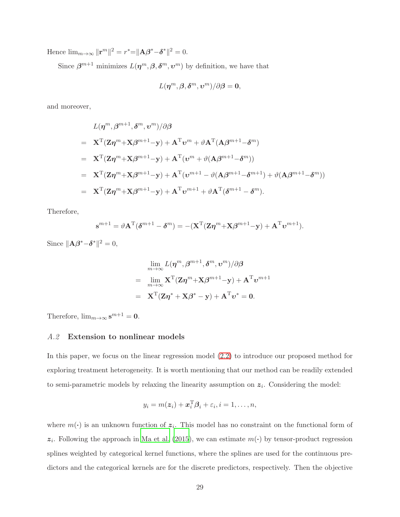Hence  $\lim_{m\to\infty} ||\mathbf{r}^m||^2 = r^* = ||\mathbf{A}\boldsymbol{\beta}^* - \boldsymbol{\delta}^*||^2 = 0.$ 

Since  $\beta^{m+1}$  minimizes  $L(\eta^m, \beta, \delta^m, \nu^m)$  by definition, we have that

$$
L(\boldsymbol{\eta}^{m},\boldsymbol{\beta},\boldsymbol{\delta}^{m},\boldsymbol{v}^{m})/\partial\boldsymbol{\beta}=\mathbf{0},
$$

and moreover,

$$
L(\boldsymbol{\eta}^{m}, \boldsymbol{\beta}^{m+1}, \boldsymbol{\delta}^{m}, \boldsymbol{v}^{m})/\partial \boldsymbol{\beta}
$$
\n
$$
= \mathbf{X}^{T}(\mathbf{Z}\boldsymbol{\eta}^{m} + \mathbf{X}\boldsymbol{\beta}^{m+1} - \mathbf{y}) + \mathbf{A}^{T}\boldsymbol{v}^{m} + \vartheta \mathbf{A}^{T}(\mathbf{A}\boldsymbol{\beta}^{m+1} - \boldsymbol{\delta}^{m})
$$
\n
$$
= \mathbf{X}^{T}(\mathbf{Z}\boldsymbol{\eta}^{m} + \mathbf{X}\boldsymbol{\beta}^{m+1} - \mathbf{y}) + \mathbf{A}^{T}(\boldsymbol{v}^{m} + \vartheta(\mathbf{A}\boldsymbol{\beta}^{m+1} - \boldsymbol{\delta}^{m}))
$$
\n
$$
= \mathbf{X}^{T}(\mathbf{Z}\boldsymbol{\eta}^{m} + \mathbf{X}\boldsymbol{\beta}^{m+1} - \mathbf{y}) + \mathbf{A}^{T}(\boldsymbol{v}^{m+1} - \vartheta(\mathbf{A}\boldsymbol{\beta}^{m+1} - \boldsymbol{\delta}^{m+1}) + \vartheta(\mathbf{A}\boldsymbol{\beta}^{m+1} - \boldsymbol{\delta}^{m}))
$$
\n
$$
= \mathbf{X}^{T}(\mathbf{Z}\boldsymbol{\eta}^{m} + \mathbf{X}\boldsymbol{\beta}^{m+1} - \mathbf{y}) + \mathbf{A}^{T}\boldsymbol{v}^{m+1} + \vartheta \mathbf{A}^{T}(\boldsymbol{\delta}^{m+1} - \boldsymbol{\delta}^{m}).
$$

Therefore,

$$
\mathbf{s}^{m+1} = \vartheta \mathbf{A}^{\mathrm{T}}(\boldsymbol{\delta}^{m+1} - \boldsymbol{\delta}^{m}) = -(\mathbf{X}^{\mathrm{T}}(\mathbf{Z}\boldsymbol{\eta}^{m} + \mathbf{X}\boldsymbol{\beta}^{m+1} - \mathbf{y}) + \mathbf{A}^{\mathrm{T}}\boldsymbol{v}^{m+1}).
$$

Since  $\|\mathbf{A}\boldsymbol{\beta}^* - \boldsymbol{\delta}^*\|^2 = 0$ ,

$$
\lim_{m \to \infty} L(\boldsymbol{\eta}^m, \boldsymbol{\beta}^{m+1}, \boldsymbol{\delta}^m, \boldsymbol{v}^m) / \partial \boldsymbol{\beta}
$$
\n
$$
= \lim_{m \to \infty} \mathbf{X}^{\mathrm{T}} (\mathbf{Z}\boldsymbol{\eta}^m + \mathbf{X}\boldsymbol{\beta}^{m+1} - \mathbf{y}) + \mathbf{A}^{\mathrm{T}} \boldsymbol{v}^{m+1}
$$
\n
$$
= \mathbf{X}^{\mathrm{T}} (\mathbf{Z}\boldsymbol{\eta}^* + \mathbf{X}\boldsymbol{\beta}^* - \mathbf{y}) + \mathbf{A}^{\mathrm{T}} \boldsymbol{v}^* = \mathbf{0}.
$$

<span id="page-29-0"></span>Therefore,  $\lim_{m\to\infty} s^{m+1} = 0$ .

### A.2 Extension to nonlinear models

In this paper, we focus on the linear regression model [\(2.2\)](#page-3-2) to introduce our proposed method for exploring treatment heterogeneity. It is worth mentioning that our method can be readily extended to semi-parametric models by relaxing the linearity assumption on  $z_i$ . Considering the model:

$$
y_i = m(\boldsymbol{z}_i) + \boldsymbol{x}_i^{\mathrm{T}} \boldsymbol{\beta}_i + \varepsilon_i, i = 1, \ldots, n,
$$

where  $m(\cdot)$  is an unknown function of  $z_i$ . This model has no constraint on the functional form of  $z_i$ . Following the approach in [Ma et al. \(2015](#page-41-11)), we can estimate  $m(\cdot)$  by tensor-product regression splines weighted by categorical kernel functions, where the splines are used for the continuous predictors and the categorical kernels are for the discrete predictors, respectively. Then the objective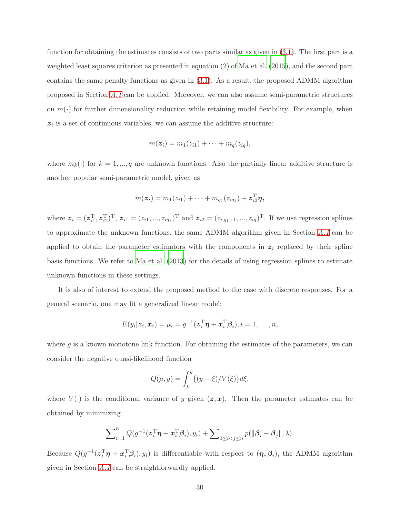function for obtaining the estimates consists of two parts similar as given in [\(3.1\)](#page-6-0). The first part is a weighted least squares criterion as presented in equation (2) of [Ma et al. \(2015](#page-41-11)), and the second part contains the same penalty functions as given in [\(3.1\)](#page-6-0). As a result, the proposed ADMM algorithm proposed in Section [A.1](#page-24-2) can be applied. Moreover, we can also assume semi-parametric structures on  $m(\cdot)$  for further dimensionality reduction while retaining model flexibility. For example, when  $z_i$  is a set of continuous variables, we can assume the additive structure:

$$
m(\boldsymbol{z}_i) = m_1(z_{i1}) + \cdots + m_q(z_{iq}),
$$

where  $m_k(\cdot)$  for  $k = 1, ..., q$  are unknown functions. Also the partially linear additive structure is another popular semi-parametric model, given as

$$
m(\boldsymbol{z}_i) = m_1(z_{i1}) + \cdots + m_{q_1}(z_{iq_1}) + \boldsymbol{z}_{i2}^{\mathrm{T}} \boldsymbol{\eta},
$$

where  $z_i = (z_{i1}^T, z_{i2}^T)^T$ ,  $z_{i1} = (z_{i1}, ..., z_{iq_1})^T$  and  $z_{i2} = (z_{i,q_1+1}, ..., z_{iq})^T$ . If we use regression splines to approximate the unknown functions, the same ADMM algorithm given in Section  $A.1$  can be applied to obtain the parameter estimators with the components in  $z_i$  replaced by their spline basis functions. We refer to [Ma et al. \(2013](#page-41-12)) for the details of using regression splines to estimate unknown functions in these settings.

It is also of interest to extend the proposed method to the case with discrete responses. For a general scenario, one may fit a generalized linear model:

$$
E(y_i|\mathbf{z}_i,\mathbf{x}_i)=\mu_i=g^{-1}(\mathbf{z}_i^{\mathrm{T}}\boldsymbol{\eta}+\mathbf{x}_i^{\mathrm{T}}\boldsymbol{\beta}_i), i=1,\ldots,n,
$$

where  $g$  is a known monotone link function. For obtaining the estimates of the parameters, we can consider the negative quasi-likelihood function

$$
Q(\mu, y) = \int_{\mu}^{y} \{ (y - \xi) / V(\xi) \} d\xi,
$$

where  $V(\cdot)$  is the conditional variance of y given  $(z, x)$ . Then the parameter estimates can be obtained by minimizing

$$
\sum_{i=1}^n Q(g^{-1}(\mathbf{z}_i^{\mathrm{T}} \boldsymbol{\eta} + \mathbf{x}_i^{\mathrm{T}} \boldsymbol{\beta}_i), y_i) + \sum_{1 \leq i < j \leq n} p(||\boldsymbol{\beta}_i - \boldsymbol{\beta}_j||, \lambda).
$$

Because  $Q(g^{-1}(z_i^T \eta + x_i^T \beta_i), y_i)$  is differentiable with respect to  $(\eta, \beta_i)$ , the ADMM algorithm given in Section [A.1](#page-24-2) can be straightforwardly applied.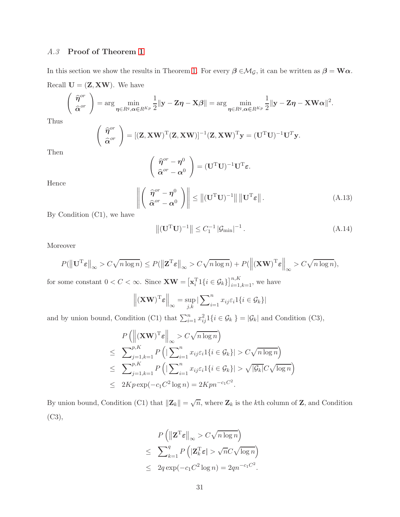### A.3 Proof of Theorem [1](#page-9-0)

In this section we show the results in Theorem [1.](#page-9-0) For every  $\beta \in M_{\mathcal{G}}$ , it can be written as  $\beta = W\alpha$ . Recall  $\mathbf{U} = (\mathbf{Z}, \mathbf{X}\mathbf{W})$ . We have

$$
\left(\begin{array}{c}\widehat{\eta}^{or}\\ \widehat{\alpha}^{or}\end{array}\right)=\arg\min_{\eta\in R^q,\alpha\in R^{K_p}}\frac{1}{2}\|\mathbf{y}-\mathbf{Z}\eta-\mathbf{X}\boldsymbol{\beta}\|=\arg\min_{\eta\in R^q,\alpha\in R^{K_p}}\frac{1}{2}\|\mathbf{y}-\mathbf{Z}\eta-\mathbf{X}\mathbf{W}\alpha\|^2.
$$

Thus

$$
\left(\begin{array}{c}\widehat{\boldsymbol{\eta}}^{or} \\ \widehat{\boldsymbol{\alpha}}^{or}\end{array}\right)=[(\mathbf{Z}, \mathbf{X}\mathbf{W})^{\mathrm{T}}(\mathbf{Z}, \mathbf{X}\mathbf{W})]^{-1}(\mathbf{Z}, \mathbf{X}\mathbf{W})^{\mathrm{T}}\mathbf{y}=(\mathbf{U}^{\mathrm{T}}\mathbf{U})^{-1}\mathbf{U}^{\mathrm{T}}\mathbf{y}.
$$

Then

$$
\left(\begin{array}{c} \widehat{\boldsymbol{\eta}}^{or}-\boldsymbol{\eta}^{0}\\ \widehat{\boldsymbol{\alpha}}^{or}-\boldsymbol{\alpha}^{0} \end{array}\right)=(\mathbf{U}^{T}\mathbf{U})^{-1}\mathbf{U}^{T}\boldsymbol{\varepsilon}.
$$

Hence

<span id="page-31-0"></span>
$$
\left\| \left( \begin{array}{c} \widehat{\boldsymbol{\eta}}^{or} - \boldsymbol{\eta}^0 \\ \widehat{\boldsymbol{\alpha}}^{or} - \boldsymbol{\alpha}^0 \end{array} \right) \right\| \leq \| (\mathbf{U}^{\mathrm{T}} \mathbf{U})^{-1} \| \| \mathbf{U}^{\mathrm{T}} \boldsymbol{\varepsilon} \|.
$$
\n(A.13)

By Condition (C1), we have

<span id="page-31-1"></span>
$$
\left\| (\mathbf{U}^{\mathrm{T}} \mathbf{U})^{-1} \right\| \leq C_1^{-1} \left| \mathcal{G}_{\min} \right|^{-1} . \tag{A.14}
$$

Moreover

$$
P(||\mathbf{U}^{\mathrm{T}}\boldsymbol{\varepsilon}||_{\infty} > C\sqrt{n\log n}) \le P(||\mathbf{Z}^{\mathrm{T}}\boldsymbol{\varepsilon}||_{\infty} > C\sqrt{n\log n}) + P(||(\mathbf{X}\mathbf{W})^{\mathrm{T}}\boldsymbol{\varepsilon}||_{\infty} > C\sqrt{n\log n}),
$$

for some constant  $0 < C < \infty$ . Since  $\mathbf{XW} = [\mathbf{x}_i^{\mathrm{T}}1\{i \in \mathcal{G}_k\}]_{i=1,k=1}^{n,K}$ , we have

$$
\left\| \left( \mathbf{X} \mathbf{W} \right)^{\mathrm{T}} \boldsymbol{\varepsilon} \right\|_{\infty} = \sup_{j,k} \left| \sum_{i=1}^{n} x_{ij} \varepsilon_i \mathbf{1} \{ i \in \mathcal{G}_k \} \right|
$$

and by union bound, Condition (C1) that  $\sum_{i=1}^{n} x_{ij}^2 1\{i \in \mathcal{G}_k\} = |\mathcal{G}_k|$  and Condition (C3),

$$
P\left(\left\|(\mathbf{X}\mathbf{W})^{\mathrm{T}}\boldsymbol{\varepsilon}\right\|_{\infty} > C\sqrt{n\log n}\right)
$$
  
\n
$$
\leq \sum_{j=1,k=1}^{p,K} P\left(|\sum_{i=1}^{n} x_{ij}\varepsilon_{i}1\{i \in \mathcal{G}_{k}\}| > C\sqrt{n\log n}\right)
$$
  
\n
$$
\leq \sum_{j=1,k=1}^{p,K} P\left(|\sum_{i=1}^{n} x_{ij}\varepsilon_{i}1\{i \in \mathcal{G}_{k}\}| > \sqrt{|\mathcal{G}_{k}|}C\sqrt{\log n}\right)
$$
  
\n
$$
\leq 2Kp\exp(-c_{1}C^{2}\log n) = 2Kpn^{-c_{1}C^{2}}.
$$

By union bound, Condition (C1) that  $||\mathbf{Z}_k|| = \sqrt{n}$ , where  $\mathbf{Z}_k$  is the kth column of  $\mathbf{Z}$ , and Condition (C3),

$$
P\left(\left\|\mathbf{Z}^{\mathrm{T}}\boldsymbol{\varepsilon}\right\|_{\infty} > C\sqrt{n\log n}\right)
$$
\n
$$
\leq \sum_{k=1}^{q} P\left(\left|\mathbf{Z}_{k}^{\mathrm{T}}\boldsymbol{\varepsilon}\right| > \sqrt{n}C\sqrt{\log n}\right)
$$
\n
$$
\leq 2q \exp(-c_1 C^2 \log n) = 2qn^{-c_1 C^2}.
$$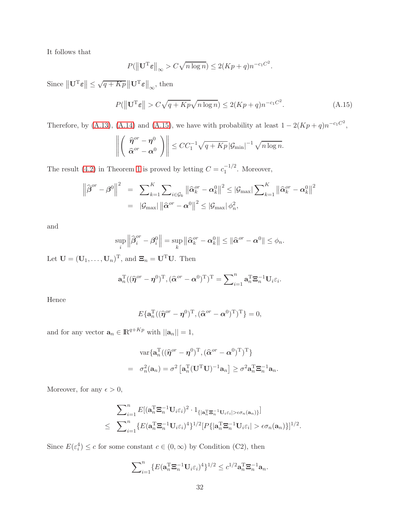It follows that

$$
P(||\mathbf{U}^{\mathrm{T}}\boldsymbol{\varepsilon}||_{\infty} > C\sqrt{n\log n}) \le 2(Kp+q)n^{-c_1C^2}.
$$

Since  $\|\mathbf{U}^{\mathrm{T}}\boldsymbol{\varepsilon}\|$   $\leq$  $\sqrt{q+Kp}$   $\|\mathbf{U}^{\mathrm{T}}\boldsymbol{\varepsilon}\|_{\infty}$ , then

<span id="page-32-0"></span>
$$
P(\left\|\mathbf{U}^{\mathrm{T}}\boldsymbol{\varepsilon}\right\| > C\sqrt{q + Kp}\sqrt{n\log n}) \le 2(Kp + q)n^{-c_1 C^2}.\tag{A.15}
$$

Therefore, by [\(A.13\)](#page-31-0), [\(A.14\)](#page-31-1) and [\(A.15\)](#page-32-0), we have with probability at least  $1 - 2(Kp + q)n^{-c_1C^2}$ ,

$$
\left\| \left( \begin{array}{c} \widehat{\boldsymbol{\eta}}^{or} - \boldsymbol{\eta}^0 \\ \widehat{\boldsymbol{\alpha}}^{or} - \boldsymbol{\alpha}^0 \end{array} \right) \right\| \leq C C_1^{-1} \sqrt{q + Kp} \, |\mathcal{G}_{\min}|^{-1} \sqrt{n \log n}.
$$

The result [\(4.2\)](#page-10-0) in Theorem [1](#page-9-0) is proved by letting  $C = c_1^{-1/2}$  $\overline{1}^{1/2}$ . Moreover,

$$
\left\|\widehat{\boldsymbol{\beta}}^{or}-\boldsymbol{\beta}^{0}\right\|^{2} = \sum_{k=1}^{K} \sum_{i\in\mathcal{G}_{k}}\left\|\widehat{\boldsymbol{\alpha}}_{k}^{or}-\boldsymbol{\alpha}_{k}^{0}\right\|^{2} \leq |\mathcal{G}_{\text{max}}| \sum_{k=1}^{K} \left\|\widehat{\boldsymbol{\alpha}}_{k}^{or}-\boldsymbol{\alpha}_{k}^{0}\right\|^{2}
$$

$$
= |\mathcal{G}_{\text{max}}| \left\|\widehat{\boldsymbol{\alpha}}^{or}-\boldsymbol{\alpha}^{0}\right\|^{2} \leq |\mathcal{G}_{\text{max}}| \phi_{n}^{2},
$$

and

$$
\sup_{i}\left\|\widehat{\beta}_{i}^{or}-\beta_{i}^{0}\right\|=\sup_{k}\left\|\widehat{\alpha}_{k}^{or}-\alpha_{k}^{0}\right\| \leq \|\widehat{\alpha}^{or}-\alpha^{0}\| \leq \phi_{n}.
$$

Let  $\mathbf{U} = (\mathbf{U}_1, \dots, \mathbf{U}_n)^\mathrm{T}$ , and  $\mathbf{\Xi}_n = \mathbf{U}^\mathrm{T} \mathbf{U}$ . Then

$$
\mathbf{a}_n^{\mathrm{T}}((\widehat{\boldsymbol{\eta}}^{or}-\boldsymbol{\eta}^0)^{\mathrm{T}},(\widehat{\boldsymbol{\alpha}}^{or}-\boldsymbol{\alpha}^0)^{\mathrm{T}})^{\mathrm{T}}=\sum\nolimits_{i=1}^n\mathbf{a}_n^{\mathrm{T}}\mathbf{\Xi}_n^{-1}\mathbf{U}_i\varepsilon_i.
$$

Hence

$$
E\{\mathbf{a}_n^{\mathrm{T}}((\widehat{\boldsymbol{\eta}}^{or}-\boldsymbol{\eta}^0)^{\mathrm{T}},(\widehat{\boldsymbol{\alpha}}^{or}-\boldsymbol{\alpha}^0)^{\mathrm{T}})^{\mathrm{T}}\}=0,
$$

and for any vector  $\mathbf{a}_n \in \mathbb{R}^{q+Kp}$  with  $||\mathbf{a}_n|| = 1$ ,

$$
\operatorname{var}\{\mathbf{a}_n^{\mathrm{T}}((\widehat{\boldsymbol{\eta}}^{or}-\boldsymbol{\eta}^0)^{\mathrm{T}},(\widehat{\boldsymbol{\alpha}}^{or}-\boldsymbol{\alpha}^0)^{\mathrm{T}})^{\mathrm{T}}\}
$$
  
=  $\sigma_n^2(\mathbf{a}_n) = \sigma^2\left[\mathbf{a}_n^{\mathrm{T}}(\mathbf{U}^{\mathrm{T}}\mathbf{U})^{-1}\mathbf{a}_n\right] \geq \sigma^2\mathbf{a}_n^{\mathrm{T}}\boldsymbol{\Xi}_n^{-1}\mathbf{a}_n.$ 

Moreover, for any  $\epsilon > 0$ ,

$$
\sum_{i=1}^n E[(\mathbf{a}_n^{\mathrm{T}} \mathbf{\Xi}_n^{-1} \mathbf{U}_i \varepsilon_i)^2 \cdot 1_{\{|\mathbf{a}_n^{\mathrm{T}} \mathbf{\Xi}_n^{-1} \mathbf{U}_i \varepsilon_i| > \epsilon \sigma_n(\mathbf{a}_n)\}}] \newline \leq \sum_{i=1}^n \{E(\mathbf{a}_n^{\mathrm{T}} \mathbf{\Xi}_n^{-1} \mathbf{U}_i \varepsilon_i)^4\}^{1/2} [P\{|\mathbf{a}_n^{\mathrm{T}} \mathbf{\Xi}_n^{-1} \mathbf{U}_i \varepsilon_i| > \epsilon \sigma_n(\mathbf{a}_n)\}]^{1/2}.
$$

Since  $E(\varepsilon_i^4) \leq c$  for some constant  $c \in (0, \infty)$  by Condition (C2), then

$$
\sum_{i=1}^n \{E(\mathbf{a}_n^{\mathrm{T}} \mathbf{\Xi}_n^{-1} \mathbf{U}_i \varepsilon_i)^4\}^{1/2} \le c^{1/2} \mathbf{a}_n^{\mathrm{T}} \mathbf{\Xi}_n^{-1} \mathbf{a}_n.
$$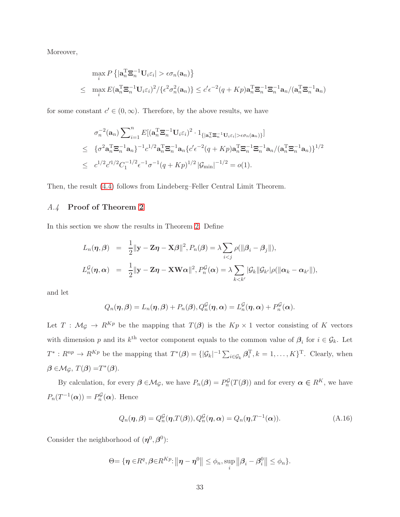Moreover,

$$
\max_{i} P\left\{|\mathbf{a}_{n}^{T}\mathbf{\Xi}_{n}^{-1}\mathbf{U}_{i}\varepsilon_{i}| > \epsilon\sigma_{n}(\mathbf{a}_{n})\right\}
$$
\n
$$
\leq \max_{i} E(\mathbf{a}_{n}^{T}\mathbf{\Xi}_{n}^{-1}\mathbf{U}_{i}\varepsilon_{i})^{2}/\{\epsilon^{2}\sigma_{n}^{2}(\mathbf{a}_{n})\} \leq c'\epsilon^{-2}(q+Kp)\mathbf{a}_{n}^{T}\mathbf{\Xi}_{n}^{-1}\mathbf{\Xi}_{n}^{-1}\mathbf{a}_{n}/(\mathbf{a}_{n}^{T}\mathbf{\Xi}_{n}^{-1}\mathbf{a}_{n})
$$

for some constant  $c' \in (0, \infty)$ . Therefore, by the above results, we have

$$
\sigma_n^{-2}(\mathbf{a}_n) \sum_{i=1}^n E[(\mathbf{a}_n^{\mathrm{T}} \mathbf{\Xi}_n^{-1} \mathbf{U}_i \varepsilon_i)^2 \cdot 1_{\{|\mathbf{a}_n^{\mathrm{T}} \mathbf{\Xi}_n^{-1} \mathbf{U}_i \varepsilon_i| > \epsilon \sigma_n(\mathbf{a}_n)\}}]
$$
\n
$$
\leq \{\sigma^2 \mathbf{a}_n^{\mathrm{T}} \mathbf{\Xi}_n^{-1} \mathbf{a}_n\}^{-1} c^{1/2} \mathbf{a}_n^{\mathrm{T}} \mathbf{\Xi}_n^{-1} \mathbf{a}_n \{c' \epsilon^{-2} (q + Kp) \mathbf{a}_n^{\mathrm{T}} \mathbf{\Xi}_n^{-1} \mathbf{\Xi}_n^{-1} \mathbf{a}_n / (\mathbf{a}_n^{\mathrm{T}} \mathbf{\Xi}_n^{-1} \mathbf{a}_n)\}^{1/2}
$$
\n
$$
\leq c^{1/2} c'^{1/2} C_1^{-1/2} \epsilon^{-1} \sigma^{-1} (q + Kp)^{1/2} |\mathcal{G}_{\min}|^{-1/2} = o(1).
$$

Then, the result [\(4.4\)](#page-10-4) follows from Lindeberg–Feller Central Limit Theorem.

### A.4 Proof of Theorem [2](#page-10-2)

In this section we show the results in Theorem [2.](#page-10-2) Define

$$
L_n(\boldsymbol{\eta}, \boldsymbol{\beta}) = \frac{1}{2} ||\mathbf{y} - \mathbf{Z}\boldsymbol{\eta} - \mathbf{X}\boldsymbol{\beta}||^2, P_n(\boldsymbol{\beta}) = \lambda \sum_{i < j} \rho(||\boldsymbol{\beta}_i - \boldsymbol{\beta}_j||),
$$
\n
$$
L_n^{\mathcal{G}}(\boldsymbol{\eta}, \boldsymbol{\alpha}) = \frac{1}{2} ||\mathbf{y} - \mathbf{Z}\boldsymbol{\eta} - \mathbf{X}\mathbf{W}\boldsymbol{\alpha}||^2, P_n^{\mathcal{G}}(\boldsymbol{\alpha}) = \lambda \sum_{k < k'} |\mathcal{G}_k||\mathcal{G}_{k'}|\rho(||\boldsymbol{\alpha}_k - \boldsymbol{\alpha}_{k'}||),
$$

and let

$$
Q_n(\boldsymbol{\eta},\boldsymbol{\beta})=L_n(\boldsymbol{\eta},\boldsymbol{\beta})+P_n(\boldsymbol{\beta}), Q_n^{\mathcal{G}}(\boldsymbol{\eta},\boldsymbol{\alpha})=L_n^{\mathcal{G}}(\boldsymbol{\eta},\boldsymbol{\alpha})+P_n^{\mathcal{G}}(\boldsymbol{\alpha}).
$$

Let  $T : \mathcal{M}_{\mathcal{G}} \to R^{Kp}$  be the mapping that  $T(\mathcal{B})$  is the  $Kp \times 1$  vector consisting of K vectors with dimension p and its  $k^{\text{th}}$  vector component equals to the common value of  $\beta_i$  for  $i \in \mathcal{G}_k$ . Let  $T^*: R^{np} \to R^{Kp}$  be the mapping that  $T^*(\beta) = \{|\mathcal{G}_k|^{-1} \sum_{i \in \mathcal{G}_k} \beta_i^{\mathrm{T}}, k = 1, \ldots, K\}^{\mathrm{T}}$ . Clearly, when  $\beta \in M_{\mathcal{G}}, T(\beta) = T^*(\beta).$ 

By calculation, for every  $\beta \in M_{\mathcal{G}}$ , we have  $P_n(\beta) = P_n^{\mathcal{G}}(T(\beta))$  and for every  $\alpha \in R^K$ , we have  $P_n(T^{-1}(\boldsymbol{\alpha})) = P_n^{\mathcal{G}}(\boldsymbol{\alpha})$ . Hence

<span id="page-33-0"></span>
$$
Q_n(\boldsymbol{\eta}, \boldsymbol{\beta}) = Q_n^{\mathcal{G}}(\boldsymbol{\eta}, T(\boldsymbol{\beta})), Q_n^{\mathcal{G}}(\boldsymbol{\eta}, \boldsymbol{\alpha}) = Q_n(\boldsymbol{\eta}, T^{-1}(\boldsymbol{\alpha})). \tag{A.16}
$$

Consider the neighborhood of  $(\eta^0, \beta^0)$ :

$$
\Theta = \{ \boldsymbol{\eta} \in R^q, \boldsymbol{\beta} \in R^{Kp}: ||\boldsymbol{\eta} - \boldsymbol{\eta}^0|| \leq \phi_n, \sup_i ||\boldsymbol{\beta}_i - \boldsymbol{\beta}_i^0|| \leq \phi_n \}.
$$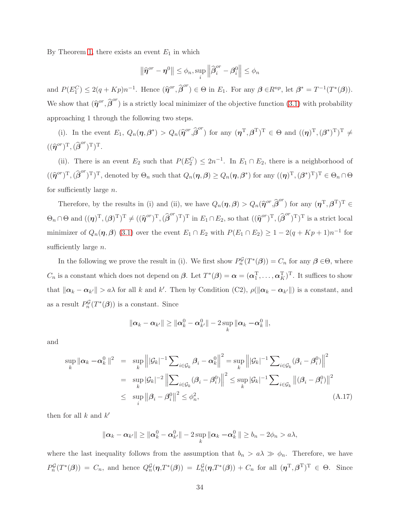By Theorem [1,](#page-9-0) there exists an event  $E_1$  in which

$$
\left\|\widehat{\boldsymbol{\eta}}^{or}-\boldsymbol{\eta}^0\right\|\leq\phi_n,\sup_i\left\|\widehat{\boldsymbol{\beta}}_i^{or}-\boldsymbol{\beta}_i^0\right\|\leq\phi_n
$$

and  $P(E_1^C) \leq 2(q+Kp)n^{-1}$ . Hence  $(\widehat{\eta}^{or}, \widehat{\beta}^{or}) \in \Theta$  in  $E_1$ . For any  $\beta \in R^{np}$ , let  $\beta^* = T^{-1}(T^*(\beta))$ . We show that  $(\hat{\eta}^{or}, \hat{\beta}^{or})$  is a strictly local minimizer of the objective function [\(3.1\)](#page-6-0) with probability approaching 1 through the following two steps.

(i). In the event  $E_1, Q_n(\eta, \beta^*) > Q_n(\hat{\eta}^{or}, \hat{\beta}^{or})$  for any  $(\eta^{\mathrm{T}}, \beta^{\mathrm{T}})^{\mathrm{T}} \in \Theta$  and  $((\eta)^{\mathrm{T}}, (\beta^*)^{\mathrm{T}})^{\mathrm{T}} \neq$  $((\widehat{\boldsymbol{\eta}}^{or})^{\rm T},(\widehat{\boldsymbol{\beta}}^{or})^{\rm T})^{\rm T}.$ 

(ii). There is an event  $E_2$  such that  $P(E_2^C) \leq 2n^{-1}$ . In  $E_1 \cap E_2$ , there is a neighborhood of  $((\widehat{\eta}^{or})^{\mathrm{T}},(\widehat{\beta}^{or})^{\mathrm{T}})^{\mathrm{T}},$  denoted by  $\Theta_n$  such that  $Q_n(\eta,\beta) \geq Q_n(\eta,\beta^*)$  for any  $((\eta)^{\mathrm{T}},(\beta^*)^{\mathrm{T}})^{\mathrm{T}} \in \Theta_n \cap \Theta$ for sufficiently large  $n$ .

Therefore, by the results in (i) and (ii), we have  $Q_n(\eta,\beta) > Q_n(\hat{\eta}^{or},\hat{\beta}^{or})$  for any  $(\eta^{\mathrm{T}},\beta^{\mathrm{T}})^{\mathrm{T}} \in$  $\Theta_n \cap \Theta$  and  $((\eta)^T,(\beta)^T)^T \neq ((\hat{\eta}^{or})^T,(\hat{\beta}^{or})^T)^T$  in  $E_1 \cap E_2$ , so that  $((\hat{\eta}^{or})^T,(\hat{\beta}^{or})^T)^T$  is a strict local minimizer of  $Q_n(\eta,\beta)$  [\(3.1\)](#page-6-0) over the event  $E_1 \cap E_2$  with  $P(E_1 \cap E_2) \geq 1 - 2(q + Kp + 1)n^{-1}$  for sufficiently large  $n$ .

In the following we prove the result in (i). We first show  $P_n^{\mathcal{G}}(T^*(\beta)) = C_n$  for any  $\beta \in \Theta$ , where  $C_n$  is a constant which does not depend on  $\beta$ . Let  $T^*(\beta) = \alpha = (\alpha_1^T, \dots, \alpha_K^T)^T$ . It suffices to show that  $\|\boldsymbol{\alpha}_k - \boldsymbol{\alpha}_{k'}\| > a\lambda$  for all k and k'. Then by Condition (C2),  $\rho(\|\boldsymbol{\alpha}_k - \boldsymbol{\alpha}_{k'}\|)$  is a constant, and as a result  $P_n^{\mathcal{G}}(T^*(\boldsymbol{\beta}))$  is a constant. Since

$$
\|\boldsymbol{\alpha}_{k}-\boldsymbol{\alpha}_{k'}\|\geq\|\boldsymbol{\alpha}_{k}^{0}-\boldsymbol{\alpha}_{k'}^{0}\|-2\sup_{k}\|\boldsymbol{\alpha}_{k}-\boldsymbol{\alpha}_{k}^{0}\|,
$$

and

<span id="page-34-0"></span>
$$
\sup_{k} \|\alpha_k - \alpha_k^0\|^2 = \sup_{k} \left\| |\mathcal{G}_k|^{-1} \sum_{i \in \mathcal{G}_k} \beta_i - \alpha_k^0 \right\|^2 = \sup_{k} \left\| |\mathcal{G}_k|^{-1} \sum_{i \in \mathcal{G}_k} (\beta_i - \beta_i^0) \right\|^2
$$
  
\n
$$
= \sup_{k} |\mathcal{G}_k|^{-2} \left\| \sum_{i \in \mathcal{G}_k} (\beta_i - \beta_i^0) \right\|^2 \le \sup_{k} |\mathcal{G}_k|^{-1} \sum_{i \in \mathcal{G}_k} \| (\beta_i - \beta_i^0) \|^2
$$
  
\n
$$
\le \sup_{i} \left\| \beta_i - \beta_i^0 \right\|^2 \le \phi_n^2,
$$
\n(A.17)

then for all  $k$  and  $k'$ 

$$
\|\boldsymbol{\alpha}_k-\boldsymbol{\alpha}_{k'}\|\geq \|\boldsymbol{\alpha}_k^0-\boldsymbol{\alpha}_{k'}^0\|-2\sup_k\|\boldsymbol{\alpha}_k-\boldsymbol{\alpha}_k^0\|\geq b_n-2\phi_n>a\lambda,
$$

where the last inequality follows from the assumption that  $b_n > a\lambda \gg \phi_n$ . Therefore, we have  $P_n^{\mathcal{G}}(T^*(\beta)) = C_n$ , and hence  $Q_n^{\mathcal{G}}(\eta, T^*(\beta)) = L_n^{\mathcal{G}}(\eta, T^*(\beta)) + C_n$  for all  $(\eta^{\mathrm{T}}, \beta^{\mathrm{T}})^{\mathrm{T}} \in \Theta$ . Since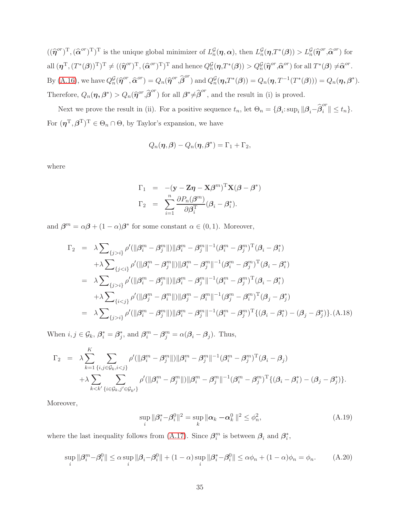$((\widehat{\eta}^{or})^{\mathrm{T}},(\widehat{\alpha}^{or})^{\mathrm{T}})^{\mathrm{T}}$  is the unique global minimizer of  $L_n^{\mathcal{G}}(\eta,\alpha)$ , then  $L_n^{\mathcal{G}}(\eta,T^*(\beta)) > L_n^{\mathcal{G}}(\widehat{\eta}^{or},\widehat{\alpha}^{or})$  for all  $(\boldsymbol{\eta}^{\mathrm{T}},(T^*(\boldsymbol{\beta}))^{\mathrm{T}})^{\mathrm{T}}\neq((\widehat{\boldsymbol{\eta}}^{or})^{\mathrm{T}},(\widehat{\boldsymbol{\alpha}}^{or})^{\mathrm{T}})^{\mathrm{T}}$  and hence  $Q_n^{\mathcal{G}}(\boldsymbol{\eta},T^*(\boldsymbol{\beta}))>Q_n^{\mathcal{G}}(\widehat{\boldsymbol{\eta}}^{or},\widehat{\boldsymbol{\alpha}}^{or})$  for all  $T^*(\boldsymbol{\beta})\neq \widehat{\boldsymbol{\alpha}}^{or}$ . By [\(A.16\)](#page-33-0), we have  $Q_n^{\mathcal{G}}(\hat{\boldsymbol{\eta}}^{or}, \hat{\boldsymbol{\alpha}}^{or}) = Q_n(\hat{\boldsymbol{\eta}}^{or}, \hat{\boldsymbol{\beta}}^{or})$  and  $Q_n^{\mathcal{G}}(\boldsymbol{\eta}, T^*(\boldsymbol{\beta})) = Q_n(\boldsymbol{\eta}, T^{-1}(T^*(\boldsymbol{\beta}))) = Q_n(\boldsymbol{\eta}, \boldsymbol{\beta}^*)$ . Therefore,  $Q_n(\eta, \beta^*) > Q_n(\hat{\eta}^{or}, \hat{\beta}^{or})$  for all  $\beta^* \neq \hat{\beta}^{or}$ , and the result in (i) is proved.

Next we prove the result in (ii). For a positive sequence  $t_n$ , let  $\Theta_n = {\beta_i : \sup_i ||\beta_i - \widehat{\beta}_i^{or}|| \le t_n}.$ For  $(\boldsymbol{\eta}^{\mathrm{T}},\boldsymbol{\beta}^{\mathrm{T}})^{\mathrm{T}} \in \Theta_n \cap \Theta$ , by Taylor's expansion, we have

$$
Q_n(\boldsymbol{\eta},\boldsymbol{\beta})-Q_n(\boldsymbol{\eta},\boldsymbol{\beta}^*)=\Gamma_1+\Gamma_2,
$$

where

$$
\Gamma_1 = -(\mathbf{y} - \mathbf{Z}\boldsymbol{\eta} - \mathbf{X}\boldsymbol{\beta}^m)^T \mathbf{X} (\boldsymbol{\beta} - \boldsymbol{\beta}^*)
$$
  
\n
$$
\Gamma_2 = \sum_{i=1}^n \frac{\partial P_n(\boldsymbol{\beta}^m)}{\partial \boldsymbol{\beta}_i^T} (\boldsymbol{\beta}_i - \boldsymbol{\beta}_i^*).
$$

and  $\beta^m = \alpha \beta + (1 - \alpha) \beta^*$  for some constant  $\alpha \in (0, 1)$ . Moreover,

<span id="page-35-1"></span>
$$
\Gamma_{2} = \lambda \sum_{\{j>i\}} \rho'(\|\beta_{i}^{m} - \beta_{j}^{m}\|)\|\beta_{i}^{m} - \beta_{j}^{m}\|^{-1}(\beta_{i}^{m} - \beta_{j}^{m})^{T}(\beta_{i} - \beta_{i}^{*})
$$
  
\n
$$
+ \lambda \sum_{\{j  
\n
$$
= \lambda \sum_{\{j>i\}} \rho'(\|\beta_{i}^{m} - \beta_{j}^{m}\|)\|\beta_{i}^{m} - \beta_{j}^{m}\|^{-1}(\beta_{i}^{m} - \beta_{j}^{m})^{T}(\beta_{i} - \beta_{i}^{*})
$$
  
\n
$$
+ \lambda \sum_{\{i  
\n
$$
= \lambda \sum_{\{j>i\}} \rho'(\|\beta_{i}^{m} - \beta_{j}^{m}\|)\|\beta_{i}^{m} - \beta_{j}^{m}\|^{-1}(\beta_{i}^{m} - \beta_{j}^{m})^{T}\{(\beta_{i} - \beta_{i}^{*}) - (\beta_{j} - \beta_{j}^{*})\}. \text{(A.18)}
$$
$$
$$

When  $i, j \in \mathcal{G}_k$ ,  $\beta_i^* = \beta_j^*$ , and  $\beta_i^m - \beta_j^m = \alpha(\beta_i - \beta_j)$ . Thus,

$$
\Gamma_2 = \lambda \sum_{k=1}^K \sum_{\{i,j \in \mathcal{G}_k, i < j\}} \rho'(\|\beta_i^m - \beta_j^m\|) \|\beta_i^m - \beta_j^m\|^{-1} (\beta_i^m - \beta_j^m)^T (\beta_i - \beta_j) \n+ \lambda \sum_{k < k'} \sum_{\{i \in \mathcal{G}_k, j' \in \mathcal{G}_{k'}\}} \rho'(\|\beta_i^m - \beta_j^m\|) \|\beta_i^m - \beta_j^m\|^{-1} (\beta_i^m - \beta_j^m)^T \{(\beta_i - \beta_i^*) - (\beta_j - \beta_j^*)\}.
$$

Moreover,

<span id="page-35-2"></span>
$$
\sup_{i} \|\boldsymbol{\beta}_{i}^{*} - \boldsymbol{\beta}_{i}^{0}\|^{2} = \sup_{k} \|\boldsymbol{\alpha}_{k} - \boldsymbol{\alpha}_{k}^{0}\|^{2} \leq \phi_{n}^{2},
$$
\n(A.19)

where the last inequality follows from [\(A.17\)](#page-34-0). Since  $\beta_i^m$  is between  $\beta_i$  and  $\beta_i^*$ ,

<span id="page-35-0"></span>
$$
\sup_{i} \|\beta_i^m - \beta_i^0\| \le \alpha \sup_i \|\beta_i - \beta_i^0\| + (1 - \alpha) \sup_i \|\beta_i^* - \beta_i^0\| \le \alpha \phi_n + (1 - \alpha)\phi_n = \phi_n.
$$
 (A.20)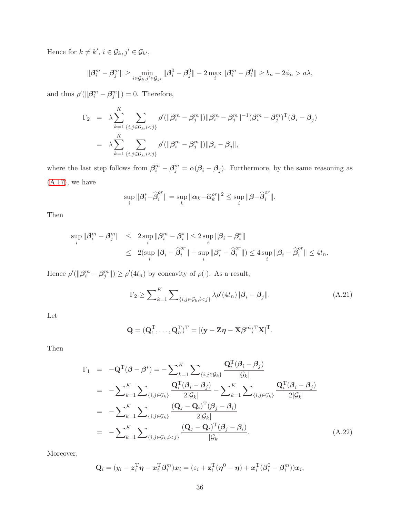Hence for  $k \neq k'$ ,  $i \in \mathcal{G}_k, j' \in \mathcal{G}_{k'}$ ,

$$
\|\beta_i^m - \beta_j^m\| \ge \min_{i \in \mathcal{G}_k, j' \in \mathcal{G}_{k'}} \|\beta_i^0 - \beta_j^0\| - 2 \max_i \|\beta_i^m - \beta_i^0\| \ge b_n - 2\phi_n > a\lambda,
$$

and thus  $\rho'(\|\boldsymbol{\beta}_i^m - \boldsymbol{\beta}_j^m\|) = 0$ . Therefore,

$$
\Gamma_2 = \lambda \sum_{k=1}^K \sum_{\{i,j \in \mathcal{G}_k, i < j\}} \rho'(\|\beta_i^m - \beta_j^m\|) \|\beta_i^m - \beta_j^m\|^{-1} (\beta_i^m - \beta_j^m)^T (\beta_i - \beta_j)
$$
\n
$$
= \lambda \sum_{k=1}^K \sum_{\{i,j \in \mathcal{G}_k, i < j\}} \rho'(\|\beta_i^m - \beta_j^m\|) \|\beta_i - \beta_j\|,
$$

where the last step follows from  $\beta_i^m - \beta_j^m = \alpha(\beta_i - \beta_j)$ . Furthermore, by the same reasoning as  $(A.17)$ , we have

$$
\sup_{i} \|\boldsymbol{\beta}_{i}^{*}-\widehat{\boldsymbol{\beta}}_{i}^{or}\|=\sup_{k} \|\boldsymbol{\alpha}_{k}-\widehat{\boldsymbol{\alpha}}_{k}^{or}\|^{2} \leq \sup_{i} \|\boldsymbol{\beta}-\widehat{\boldsymbol{\beta}}_{i}^{or}\|.
$$

Then

$$
\sup_{i} \|\beta_i^m - \beta_j^m\| \le 2 \sup_{i} \|\beta_i^m - \beta_i^*\| \le 2 \sup_{i} \|\beta_i - \beta_i^*\|
$$
  

$$
\le 2(\sup_{i} \|\beta_i - \widehat{\beta}_i^o\| + \sup_{i} \|\beta_i^* - \widehat{\beta}_i^o\|) \le 4 \sup_{i} \|\beta_i - \widehat{\beta}_i^{or}\| \le 4t_n.
$$

Hence  $\rho'(\|\beta_i^m - \beta_j^m\|) \ge \rho'(4t_n)$  by concavity of  $\rho(\cdot)$ . As a result,

<span id="page-36-0"></span>
$$
\Gamma_2 \ge \sum_{k=1}^K \sum_{\{i,j \in \mathcal{G}_k, i < j\}} \lambda \rho'(4t_n) \|\mathcal{B}_i - \mathcal{B}_j\|.\tag{A.21}
$$

Let

$$
\mathbf{Q} = (\mathbf{Q}_1^{\mathrm{T}}, \dots, \mathbf{Q}_n^{\mathrm{T}})^{\mathrm{T}} = [(\mathbf{y} - \mathbf{Z}\boldsymbol{\eta} - \mathbf{X}\boldsymbol{\beta}^m)^{\mathrm{T}}\mathbf{X}]^{\mathrm{T}}.
$$

Then

<span id="page-36-1"></span>
$$
\Gamma_{1} = -\mathbf{Q}^{T}(\boldsymbol{\beta} - \boldsymbol{\beta}^{*}) = -\sum_{k=1}^{K} \sum_{\{i,j \in \mathcal{G}_{k}\}} \frac{\mathbf{Q}_{i}^{T}(\boldsymbol{\beta}_{i} - \boldsymbol{\beta}_{j})}{|\mathcal{G}_{k}|}
$$
  
\n
$$
= -\sum_{k=1}^{K} \sum_{\{i,j \in \mathcal{G}_{k}\}} \frac{\mathbf{Q}_{i}^{T}(\boldsymbol{\beta}_{i} - \boldsymbol{\beta}_{j})}{2|\mathcal{G}_{k}|} - \sum_{k=1}^{K} \sum_{\{i,j \in \mathcal{G}_{k}\}} \frac{\mathbf{Q}_{i}^{T}(\boldsymbol{\beta}_{i} - \boldsymbol{\beta}_{j})}{2|\mathcal{G}_{k}|}
$$
  
\n
$$
= -\sum_{k=1}^{K} \sum_{\{i,j \in \mathcal{G}_{k}\}} \frac{(\mathbf{Q}_{j} - \mathbf{Q}_{i})^{T}(\boldsymbol{\beta}_{j} - \boldsymbol{\beta}_{i})}{2|\mathcal{G}_{k}|}
$$
  
\n
$$
= -\sum_{k=1}^{K} \sum_{\{i,j \in \mathcal{G}_{k}, i < j\}} \frac{(\mathbf{Q}_{j} - \mathbf{Q}_{i})^{T}(\boldsymbol{\beta}_{j} - \boldsymbol{\beta}_{i})}{|\mathcal{G}_{k}|}. \tag{A.22}
$$

Moreover,

$$
\mathbf{Q}_i = (y_i - \mathbf{z}_i^{\mathrm{T}} \boldsymbol{\eta} - \mathbf{x}_i^{\mathrm{T}} \boldsymbol{\beta}_i^m) \mathbf{x}_i = (\varepsilon_i + \mathbf{z}_i^{\mathrm{T}} (\boldsymbol{\eta}^0 - \boldsymbol{\eta}) + \mathbf{x}_i^{\mathrm{T}} (\boldsymbol{\beta}_i^0 - \boldsymbol{\beta}_i^m)) \mathbf{x}_i,
$$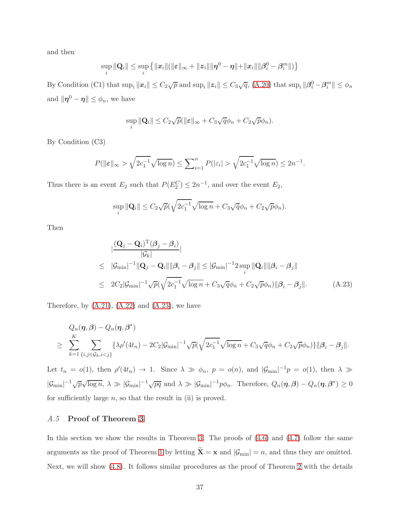and then

$$
\sup_{i} \|\mathbf{Q}_{i}\| \leq \sup_{i} \left\{ \|x_{i}\| (\|\varepsilon\|_{\infty} + \|z_{i}\| \|\pmb{\eta}^{0} - \pmb{\eta} \| + \|x_{i}\| \|\pmb{\beta}_{i}^{0} - \pmb{\beta}_{i}^{m} \|)\right\}
$$

By Condition (C1) that  $\sup_i ||x_i|| \leq C_2 \sqrt{p}$  and  $\sup_i ||z_i|| \leq C_3 \sqrt{q}$ , [\(A.20\)](#page-35-0) that  $\sup_i ||\beta_i^0 - \beta_i^m|| \leq \phi_n$ and  $\|\boldsymbol{\eta}^0 - \boldsymbol{\eta}\| \leq \phi_n$ , we have

$$
\sup_{i} \|\mathbf{Q}_{i}\| \leq C_{2}\sqrt{p}(\|\boldsymbol{\varepsilon}\|_{\infty} + C_{3}\sqrt{q}\phi_{n} + C_{2}\sqrt{p}\phi_{n}).
$$

By Condition (C3)

$$
P(\|\varepsilon\|_{\infty} > \sqrt{2c_1^{-1}}\sqrt{\log n}) \le \sum_{i=1}^n P(|\varepsilon_i| > \sqrt{2c_1^{-1}}\sqrt{\log n}) \le 2n^{-1}.
$$

Thus there is an event  $E_2$  such that  $P(E_2^C) \leq 2n^{-1}$ , and over the event  $E_2$ ,

$$
\sup_{i} \|\mathbf{Q}_{i}\| \leq C_{2}\sqrt{p}(\sqrt{2c_{1}^{-1}}\sqrt{\log n} + C_{3}\sqrt{q}\phi_{n} + C_{2}\sqrt{p}\phi_{n}).
$$

Then

<span id="page-37-0"></span>
$$
\begin{aligned}\n&\left|\frac{(\mathbf{Q}_j - \mathbf{Q}_i)^{\mathrm{T}}(\boldsymbol{\beta}_j - \boldsymbol{\beta}_i)}{|\mathcal{G}_k|}\right| \\
&\leq \|\mathcal{G}_{\min}|^{-1} \|\mathbf{Q}_j - \mathbf{Q}_i\| \|\boldsymbol{\beta}_i - \boldsymbol{\beta}_j\| \leq |\mathcal{G}_{\min}|^{-1} 2 \sup_i \|\mathbf{Q}_i\| \|\boldsymbol{\beta}_i - \boldsymbol{\beta}_j\| \\
&\leq 2C_2 |\mathcal{G}_{\min}|^{-1} \sqrt{p} (\sqrt{2c_1^{-1}} \sqrt{\log n} + C_3 \sqrt{q} \phi_n + C_2 \sqrt{p} \phi_n) \|\boldsymbol{\beta}_i - \boldsymbol{\beta}_j\|.\n\end{aligned} \tag{A.23}
$$

Therefore, by  $(A.21)$ ,  $(A.22)$  and  $(A.23)$ , we have

$$
Q_n(\boldsymbol{\eta},\boldsymbol{\beta}) - Q_n(\boldsymbol{\eta},\boldsymbol{\beta}^*)
$$
  
\n
$$
\geq \sum_{k=1}^K \sum_{\{i,j \in \mathcal{G}_k, i < j\}} {\{\lambda \rho'(4t_n) - 2C_2 |\mathcal{G}_{\min}|^{-1} \sqrt{p} (\sqrt{2c_1^{-1}} \sqrt{\log n} + C_3 \sqrt{q} \phi_n + C_2 \sqrt{p} \phi_n)\} \|\boldsymbol{\beta}_i - \boldsymbol{\beta}_j\|}.
$$

Let  $t_n = o(1)$ , then  $\rho'(4t_n) \to 1$ . Since  $\lambda \gg \phi_n$ ,  $p = o(n)$ , and  $|\mathcal{G}_{\min}|^{-1}p = o(1)$ , then  $\lambda \gg$  $|\mathcal{G}_{\min}|^{-1}\sqrt{p}\sqrt{\log n}, \ \lambda \gg |\mathcal{G}_{\min}|^{-1}\sqrt{pq}$  and  $\lambda \gg |\mathcal{G}_{\min}|^{-1}p\phi_n$ . Therefore,  $Q_n(\eta,\beta) - Q_n(\eta,\beta^*) \geq 0$ for sufficiently large  $n$ , so that the result in (ii) is proved.

### A.5 Proof of Theorem [3](#page-12-0)

In this section we show the results in Theorem [3.](#page-12-0) The proofs of  $(4.6)$  and  $(4.7)$  follow the same arguments as the proof of Theorem [1](#page-9-0) by letting  $\tilde{\mathbf{X}} = \mathbf{x}$  and  $|\mathcal{G}_{\text{min}}| = n$ , and thus they are omitted. Next, we will show [\(4.8\)](#page-13-1). It follows similar procedures as the proof of Theorem [2](#page-10-2) with the details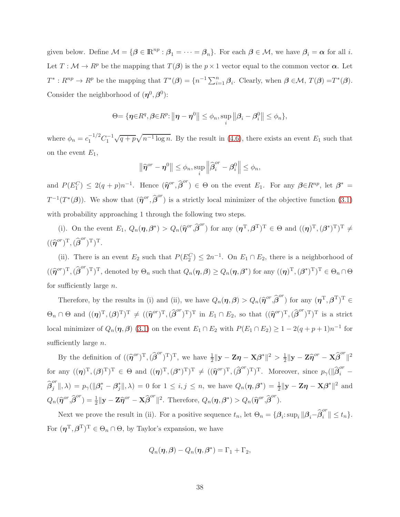given below. Define  $\mathcal{M} = \{\beta \in \mathbb{R}^{np} : \beta_1 = \cdots = \beta_n\}$ . For each  $\beta \in \mathcal{M}$ , we have  $\beta_i = \alpha$  for all *i*. Let  $T : \mathcal{M} \to \mathbb{R}^p$  be the mapping that  $T(\beta)$  is the  $p \times 1$  vector equal to the common vector  $\alpha$ . Let  $T^*: R^{np} \to R^p$  be the mapping that  $T^*(\beta) = \{n^{-1} \sum_{i=1}^n \beta_i\}$ . Clearly, when  $\beta \in \mathcal{M}$ ,  $T(\beta) = T^*(\beta)$ . Consider the neighborhood of  $(\eta^0, \beta^0)$ :

$$
\Theta = \{ \boldsymbol{\eta} \in R^q, \boldsymbol{\beta} \in R^p : ||\boldsymbol{\eta} - \boldsymbol{\eta}^0|| \leq \phi_n, \sup_i ||\boldsymbol{\beta}_i - \boldsymbol{\beta}_i^0|| \leq \phi_n \},\
$$

where  $\phi_n = c_1^{-1/2} C_1^{-1} \sqrt{q+p} \sqrt{n^{-1} \log n}$ . By the result in [\(4.6\)](#page-12-1), there exists an event  $E_1$  such that on the event  $E_1$ ,

$$
\left\|\widehat{\boldsymbol{\eta}}^{or}-\boldsymbol{\eta}^0\right\|\leq\phi_n,\sup_i\left\|\widehat{\boldsymbol{\beta}}_i^{or}-\boldsymbol{\beta}_i^0\right\|\leq\phi_n,
$$

and  $P(E_1^C) \leq 2(q+p)n^{-1}$ . Hence  $(\widehat{\eta}^{or}, \widehat{\beta}^{or}) \in \Theta$  on the event  $E_1$ . For any  $\beta \in R^{np}$ , let  $\beta^* =$  $T^{-1}(T^*(\beta))$ . We show that  $(\hat{\eta}^{or}, \hat{\beta}^{or})$  is a strictly local minimizer of the objective function [\(3.1\)](#page-6-0) with probability approaching 1 through the following two steps.

(i). On the event  $E_1, Q_n(\eta, \beta^*) > Q_n(\hat{\eta}^{or}, \hat{\beta}^{or})$  for any  $(\eta^{\mathrm{T}}, \beta^{\mathrm{T}})^{\mathrm{T}} \in \Theta$  and  $((\eta)^{\mathrm{T}}, (\beta^*)^{\mathrm{T}})^{\mathrm{T}} \neq$  $((\widehat{\boldsymbol{\eta}}^{or})^{\text{T}},(\widehat{\boldsymbol{\beta}}^{or})^{\text{T}})^{\text{T}}.$ 

(ii). There is an event  $E_2$  such that  $P(E_2^C) \leq 2n^{-1}$ . On  $E_1 \cap E_2$ , there is a neighborhood of  $((\widehat{\eta}^{or})^T,(\widehat{\beta}^{or})^T)^T$ , denoted by  $\Theta_n$  such that  $Q_n(\eta,\beta) \geq Q_n(\eta,\beta^*)$  for any  $((\eta)^T,(\beta^*)^T)^T \in \Theta_n \cap \Theta$ for sufficiently large  $n$ .

Therefore, by the results in (i) and (ii), we have  $Q_n(\eta,\beta) > Q_n(\hat{\eta}^{or},\hat{\beta}^{or})$  for any  $(\eta^{\mathrm{T}},\beta^{\mathrm{T}})^{\mathrm{T}} \in$  $\Theta_n \cap \Theta$  and  $((\eta)^T,(\beta)^T)^T \neq ((\hat{\eta}^{or})^T,(\hat{\beta}^{or})^T)^T$  in  $E_1 \cap E_2$ , so that  $((\hat{\eta}^{or})^T,(\hat{\beta}^{or})^T)^T$  is a strict local minimizer of  $Q_n(\eta, \beta)$  [\(3.1\)](#page-6-0) on the event  $E_1 \cap E_2$  with  $P(E_1 \cap E_2) \geq 1 - 2(q + p + 1)n^{-1}$  for sufficiently large *n*.

By the definition of  $((\hat{\eta}^{or})^T,(\hat{\beta}^{or})^T)^T$ , we have  $\frac{1}{2}||y - \mathbf{Z}\eta - \mathbf{X}\beta^*||^2 > \frac{1}{2}$  $\frac{1}{2} \|\mathbf{y} - \mathbf{Z}\widehat{\boldsymbol{\eta}}^{or} - \mathbf{X}\widehat{\boldsymbol{\beta}}^{or}$  $\parallel^2$ for any  $((\eta)^T,(\beta)^T)^T \in \Theta$  and  $((\eta)^T,(\beta^*)^T)^T \neq ((\hat{\eta}^{or})^T,(\hat{\beta}^{or})^T)^T$ . Moreover, since  $p_\gamma(\|\hat{\beta}_i^{or}\|)$  $i$   $\widehat{\bm{\beta}}^{or}_j$  $\mathcal{L}_{ij}^{or} \|\, , \lambda) = p_{\gamma}(\|\boldsymbol{\beta}_i^* - \boldsymbol{\beta}_j^*\|, \lambda) = 0$  for  $1 \leq i, j \leq n$ , we have  $Q_n(\boldsymbol{\eta}, \boldsymbol{\beta}^*) = \frac{1}{2} \|\mathbf{y} - \mathbf{Z}\boldsymbol{\eta} - \mathbf{X}\boldsymbol{\beta}^*\|^2$  and  $Q_n(\widehat{\boldsymbol{\eta}}^{or},\widehat{\boldsymbol{\beta}}^{or})=\frac{1}{2}\|\mathbf{y}-\mathbf{Z}\widehat{\boldsymbol{\eta}}^{or}-\mathbf{X}\widehat{\boldsymbol{\beta}}^{or}$ ||<sup>2</sup>. Therefore,  $Q_n(\boldsymbol{\eta}, \boldsymbol{\beta}^*) > Q_n(\widehat{\boldsymbol{\eta}}^{or}, \widehat{\boldsymbol{\beta}}^{or}).$ 

Next we prove the result in (ii). For a positive sequence  $t_n$ , let  $\Theta_n = {\beta_i : \sup_i ||\beta_i - \widehat{\beta}_i^{or}|| \le t_n}.$ For  $(\boldsymbol{\eta}^{\mathrm{T}},\boldsymbol{\beta}^{\mathrm{T}})^{\mathrm{T}} \in \Theta_n \cap \Theta$ , by Taylor's expansion, we have

$$
Q_n(\boldsymbol{\eta},\boldsymbol{\beta})-Q_n(\boldsymbol{\eta},\boldsymbol{\beta}^*)=\Gamma_1+\Gamma_2,
$$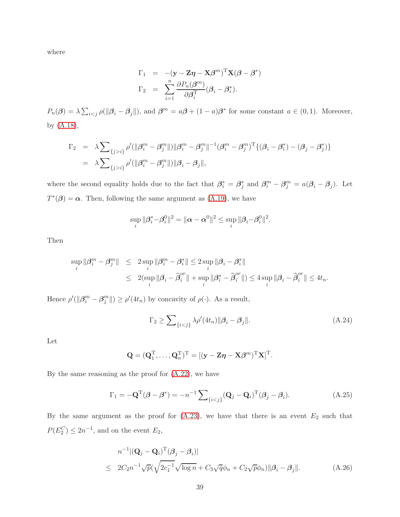where

$$
\Gamma_1 = -(\mathbf{y} - \mathbf{Z}\boldsymbol{\eta} - \mathbf{X}\boldsymbol{\beta}^m)^T \mathbf{X} (\boldsymbol{\beta} - \boldsymbol{\beta}^*)
$$

$$
\Gamma_2 = \sum_{i=1}^n \frac{\partial P_n(\boldsymbol{\beta}^m)}{\partial \boldsymbol{\beta}_i^T} (\boldsymbol{\beta}_i - \boldsymbol{\beta}_i^*).
$$

 $P_n(\boldsymbol{\beta}) = \lambda \sum_{i < j} \rho(||\boldsymbol{\beta}_i - \boldsymbol{\beta}_j||)$ , and  $\boldsymbol{\beta}^m = a\boldsymbol{\beta} + (1-a)\boldsymbol{\beta}^*$  for some constant  $a \in (0,1)$ . Moreover, by [\(A.18\)](#page-35-1),

$$
\Gamma_2 = \lambda \sum_{\{j>i\}} \rho'(\|\beta_i^m - \beta_j^m\|) \|\beta_i^m - \beta_j^m\|^{-1} (\beta_i^m - \beta_j^m)^{\mathrm{T}} \{(\beta_i - \beta_i^*) - (\beta_j - \beta_j^*)\}
$$
  
=  $\lambda \sum_{\{j>i\}} \rho'(\|\beta_i^m - \beta_j^m\|) \|\beta_i - \beta_j\|,$ 

where the second equality holds due to the fact that  $\beta_i^* = \beta_j^*$  and  $\beta_i^m - \beta_j^m = a(\beta_i - \beta_j)$ . Let  $T^*(\beta) = \alpha$ . Then, following the same argument as [\(A.19\)](#page-35-2), we have

$$
\sup_{i} \|\beta_i^* - \beta_i^0\|^2 = \|\alpha - \alpha^0\|^2 \le \sup_{i} \|\beta_i - \beta_i^0\|^2.
$$

Then

$$
\sup_{i} \|\beta_i^m - \beta_j^m\| \le 2 \sup_{i} \|\beta_i^m - \beta_i^*\| \le 2 \sup_{i} \|\beta_i - \beta_i^*\|
$$
  

$$
\le 2(\sup_{i} \|\beta_i - \widehat{\beta}_i^m\| + \sup_{i} \|\beta_i^* - \widehat{\beta}_i^m\|) \le 4 \sup_{i} \|\beta_i - \widehat{\beta}_i^m\| \le 4t_n.
$$

Hence  $\rho'(\|\beta_i^m - \beta_j^m\|) \ge \rho'(4t_n)$  by concavity of  $\rho(\cdot)$ . As a result,

<span id="page-39-0"></span>
$$
\Gamma_2 \ge \sum_{\{i < j\}} \lambda \rho'(4t_n) \|\beta_i - \beta_j\|.\tag{A.24}
$$

Let

$$
\mathbf{Q} = (\mathbf{Q}_1^{\mathrm{T}}, \dots, \mathbf{Q}_n^{\mathrm{T}})^{\mathrm{T}} = [(\mathbf{y} - \mathbf{Z}\boldsymbol{\eta} - \mathbf{X}\boldsymbol{\beta}^m)^{\mathrm{T}}\mathbf{X}]^{\mathrm{T}}.
$$

By the same reasoning as the proof for  $(A.22)$ , we have

<span id="page-39-1"></span>
$$
\Gamma_1 = -\mathbf{Q}^{\mathrm{T}}(\boldsymbol{\beta} - \boldsymbol{\beta}^*) = -n^{-1} \sum_{\{i < j\}} (\mathbf{Q}_j - \mathbf{Q}_i)^{\mathrm{T}}(\boldsymbol{\beta}_j - \boldsymbol{\beta}_i). \tag{A.25}
$$

By the same argument as the proof for  $(A.23)$ , we have that there is an event  $E_2$  such that  $P(E_2^C) \leq 2n^{-1}$ , and on the event  $E_2$ ,

<span id="page-39-2"></span>
$$
n^{-1} |(\mathbf{Q}_j - \mathbf{Q}_i)^{\mathrm{T}} (\boldsymbol{\beta}_j - \boldsymbol{\beta}_i)|
$$
  
\n
$$
\leq 2C_2 n^{-1} \sqrt{p} (\sqrt{2c_1^{-1}} \sqrt{\log n} + C_3 \sqrt{q} \phi_n + C_2 \sqrt{p} \phi_n) ||\boldsymbol{\beta}_i - \boldsymbol{\beta}_j||.
$$
 (A.26)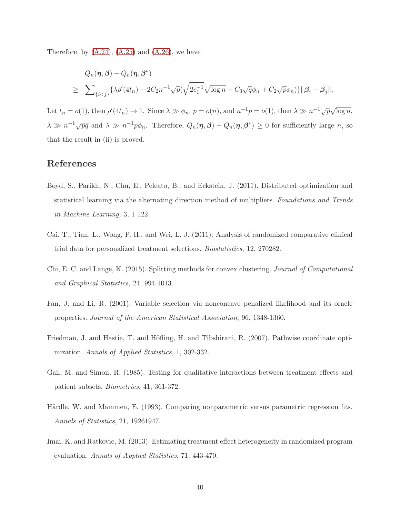Therefore, by  $(A.24)$ ,  $(A.25)$  and  $(A.26)$ , we have

$$
Q_n(\boldsymbol{\eta}, \boldsymbol{\beta}) - Q_n(\boldsymbol{\eta}, \boldsymbol{\beta}^*)
$$
  
\n
$$
\geq \sum_{\{i < j\}} \{\lambda \rho'(4t_n) - 2C_2 n^{-1} \sqrt{p} (\sqrt{2c_1^{-1}} \sqrt{\log n} + C_3 \sqrt{q} \phi_n + C_2 \sqrt{p} \phi_n)\} \|\boldsymbol{\beta}_i - \boldsymbol{\beta}_j\|.
$$

Let  $t_n = o(1)$ , then  $\rho'(4t_n) \to 1$ . Since  $\lambda \gg \phi_n$ ,  $p = o(n)$ , and  $n^{-1}p = o(1)$ , then  $\lambda \gg n^{-1}\sqrt{p}\sqrt{\log n}$ ,  $\lambda \gg n^{-1}\sqrt{pq}$  and  $\lambda \gg n^{-1}p\phi_n$ . Therefore,  $Q_n(\eta,\beta) - Q_n(\eta,\beta^*) \geq 0$  for sufficiently large n, so that the result in (ii) is proved.

### References

- <span id="page-40-5"></span>Boyd, S., Parikh, N., Chu, E., Peleato, B., and Eckstein, J. (2011). Distributed optimization and statistical learning via the alternating direction method of multipliers. Foundations and Trends in Machine Learning, 3, 1-122.
- <span id="page-40-1"></span>Cai, T., Tian, L., Wong, P. H., and Wei, L. J. (2011). Analysis of randomized comparative clinical trial data for personalized treatment selections. Biostatistics, 12, 270282.
- <span id="page-40-4"></span>Chi, E. C. and Lange, K. (2015). Splitting methods for convex clustering. Journal of Computational and Graphical Statistics, 24, 994-1013.
- <span id="page-40-3"></span>Fan, J. and Li, R. (2001). Variable selection via nonconcave penalized likelihood and its oracle properties. Journal of the American Statistical Association, 96, 1348-1360.
- <span id="page-40-7"></span>Friedman, J. and Hastie, T. and Höfling, H. and Tibshirani, R. (2007). Pathwise coordinate optimization. Annals of Applied Statistics, 1, 302-332.
- <span id="page-40-0"></span>Gail, M. and Simon, R. (1985). Testing for qualitative interactions between treatment effects and patient subsets. Biometrics, 41, 361-372.
- <span id="page-40-6"></span>Härdle, W. and Mammen, E. (1993). Comparing nonparametric versus parametric regression fits. Annals of Statistics, 21, 19261947.
- <span id="page-40-2"></span>Imai, K. and Ratkovic, M. (2013). Estimating treatment effect heterogeneity in randomized program evaluation. Annals of Applied Statistics, 71, 443-470.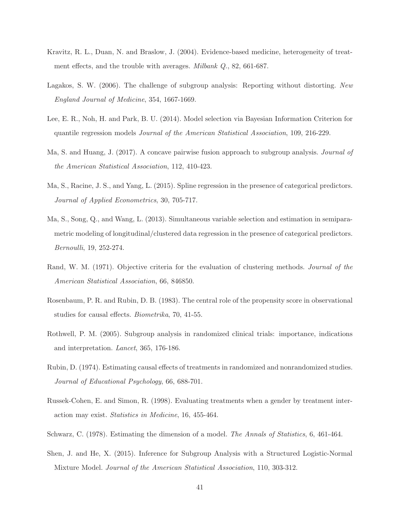- <span id="page-41-0"></span>Kravitz, R. L., Duan, N. and Braslow, J. (2004). Evidence-based medicine, heterogeneity of treatment effects, and the trouble with averages. *Milbank Q.*, 82, 661-687.
- <span id="page-41-3"></span>Lagakos, S. W. (2006). The challenge of subgroup analysis: Reporting without distorting. New England Journal of Medicine, 354, 1667-1669.
- <span id="page-41-9"></span>Lee, E. R., Noh, H. and Park, B. U. (2014). Model selection via Bayesian Information Criterion for quantile regression models Journal of the American Statistical Association, 109, 216-229.
- <span id="page-41-5"></span>Ma, S. and Huang, J. (2017). A concave pairwise fusion approach to subgroup analysis. Journal of the American Statistical Association, 112, 410-423.
- <span id="page-41-11"></span>Ma, S., Racine, J. S., and Yang, L. (2015). Spline regression in the presence of categorical predictors. Journal of Applied Econometrics, 30, 705-717.
- <span id="page-41-12"></span>Ma, S., Song, Q., and Wang, L. (2013). Simultaneous variable selection and estimation in semiparametric modeling of longitudinal/clustered data regression in the presence of categorical predictors. Bernoulli, 19, 252-274.
- <span id="page-41-10"></span>Rand, W. M. (1971). Objective criteria for the evaluation of clustering methods. *Journal of the* American Statistical Association, 66, 846850.
- <span id="page-41-7"></span>Rosenbaum, P. R. and Rubin, D. B. (1983). The central role of the propensity score in observational studies for causal effects. Biometrika, 70, 41-55.
- <span id="page-41-2"></span>Rothwell, P. M. (2005). Subgroup analysis in randomized clinical trials: importance, indications and interpretation. Lancet, 365, 176-186.
- <span id="page-41-6"></span>Rubin, D. (1974). Estimating causal effects of treatments in randomized and nonrandomized studies. Journal of Educational Psychology, 66, 688-701.
- <span id="page-41-1"></span>Russek-Cohen, E. and Simon, R. (1998). Evaluating treatments when a gender by treatment interaction may exist. Statistics in Medicine, 16, 455-464.
- <span id="page-41-8"></span>Schwarz, C. (1978). Estimating the dimension of a model. The Annals of Statistics, 6, 461-464.
- <span id="page-41-4"></span>Shen, J. and He, X. (2015). Inference for Subgroup Analysis with a Structured Logistic-Normal Mixture Model. Journal of the American Statistical Association, 110, 303-312.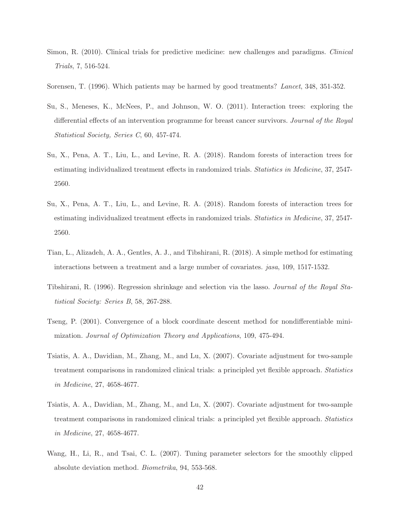- <span id="page-42-1"></span>Simon, R. (2010). Clinical trials for predictive medicine: new challenges and paradigms. Clinical Trials, 7, 516-524.
- <span id="page-42-0"></span>Sorensen, T. (1996). Which patients may be harmed by good treatments? Lancet, 348, 351-352.
- <span id="page-42-3"></span>Su, S., Meneses, K., McNees, P., and Johnson, W. O. (2011). Interaction trees: exploring the differential effects of an intervention programme for breast cancer survivors. Journal of the Royal Statistical Society, Series C, 60, 457-474.
- Su, X., Pena, A. T., Liu, L., and Levine, R. A. (2018). Random forests of interaction trees for estimating individualized treatment effects in randomized trials. Statistics in Medicine, 37, 2547- 2560.
- <span id="page-42-4"></span>Su, X., Pena, A. T., Liu, L., and Levine, R. A. (2018). Random forests of interaction trees for estimating individualized treatment effects in randomized trials. Statistics in Medicine, 37, 2547- 2560.
- <span id="page-42-2"></span>Tian, L., Alizadeh, A. A., Gentles, A. J., and Tibshirani, R. (2018). A simple method for estimating interactions between a treatment and a large number of covariates. jasa, 109, 1517-1532.
- <span id="page-42-5"></span>Tibshirani, R. (1996). Regression shrinkage and selection via the lasso. Journal of the Royal Statistical Society: Series B, 58, 267-288.
- <span id="page-42-8"></span>Tseng, P. (2001). Convergence of a block coordinate descent method for nondifferentiable minimization. Journal of Optimization Theory and Applications, 109, 475-494.
- Tsiatis, A. A., Davidian, M., Zhang, M., and Lu, X. (2007). Covariate adjustment for two-sample treatment comparisons in randomized clinical trials: a principled yet flexible approach. Statistics in Medicine, 27, 4658-4677.
- <span id="page-42-7"></span>Tsiatis, A. A., Davidian, M., Zhang, M., and Lu, X. (2007). Covariate adjustment for two-sample treatment comparisons in randomized clinical trials: a principled yet flexible approach. Statistics in Medicine, 27, 4658-4677.
- <span id="page-42-6"></span>Wang, H., Li, R., and Tsai, C. L. (2007). Tuning parameter selectors for the smoothly clipped absolute deviation method. Biometrika, 94, 553-568.